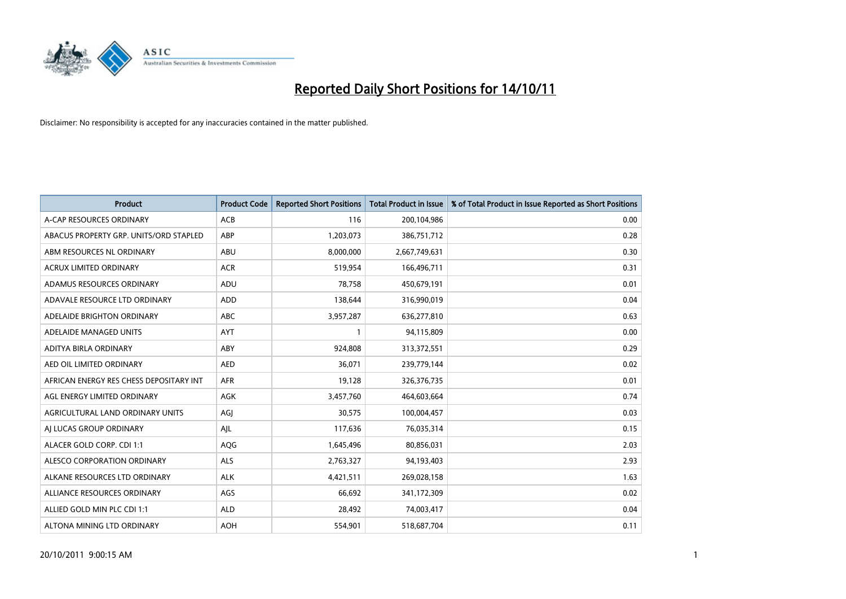

| <b>Product</b>                          | <b>Product Code</b> | <b>Reported Short Positions</b> | <b>Total Product in Issue</b> | % of Total Product in Issue Reported as Short Positions |
|-----------------------------------------|---------------------|---------------------------------|-------------------------------|---------------------------------------------------------|
| A-CAP RESOURCES ORDINARY                | <b>ACB</b>          | 116                             | 200,104,986                   | 0.00                                                    |
| ABACUS PROPERTY GRP. UNITS/ORD STAPLED  | ABP                 | 1,203,073                       | 386,751,712                   | 0.28                                                    |
| ABM RESOURCES NL ORDINARY               | <b>ABU</b>          | 8,000,000                       | 2,667,749,631                 | 0.30                                                    |
| ACRUX LIMITED ORDINARY                  | <b>ACR</b>          | 519,954                         | 166,496,711                   | 0.31                                                    |
| ADAMUS RESOURCES ORDINARY               | ADU                 | 78,758                          | 450,679,191                   | 0.01                                                    |
| ADAVALE RESOURCE LTD ORDINARY           | <b>ADD</b>          | 138,644                         | 316,990,019                   | 0.04                                                    |
| ADELAIDE BRIGHTON ORDINARY              | <b>ABC</b>          | 3,957,287                       | 636,277,810                   | 0.63                                                    |
| ADELAIDE MANAGED UNITS                  | <b>AYT</b>          |                                 | 94,115,809                    | 0.00                                                    |
| ADITYA BIRLA ORDINARY                   | ABY                 | 924,808                         | 313,372,551                   | 0.29                                                    |
| AED OIL LIMITED ORDINARY                | <b>AED</b>          | 36,071                          | 239,779,144                   | 0.02                                                    |
| AFRICAN ENERGY RES CHESS DEPOSITARY INT | <b>AFR</b>          | 19,128                          | 326, 376, 735                 | 0.01                                                    |
| AGL ENERGY LIMITED ORDINARY             | <b>AGK</b>          | 3,457,760                       | 464,603,664                   | 0.74                                                    |
| AGRICULTURAL LAND ORDINARY UNITS        | AGI                 | 30,575                          | 100,004,457                   | 0.03                                                    |
| AI LUCAS GROUP ORDINARY                 | AJL                 | 117,636                         | 76,035,314                    | 0.15                                                    |
| ALACER GOLD CORP. CDI 1:1               | AQG                 | 1,645,496                       | 80,856,031                    | 2.03                                                    |
| ALESCO CORPORATION ORDINARY             | <b>ALS</b>          | 2,763,327                       | 94,193,403                    | 2.93                                                    |
| ALKANE RESOURCES LTD ORDINARY           | <b>ALK</b>          | 4,421,511                       | 269,028,158                   | 1.63                                                    |
| ALLIANCE RESOURCES ORDINARY             | AGS                 | 66,692                          | 341,172,309                   | 0.02                                                    |
| ALLIED GOLD MIN PLC CDI 1:1             | <b>ALD</b>          | 28,492                          | 74,003,417                    | 0.04                                                    |
| ALTONA MINING LTD ORDINARY              | <b>AOH</b>          | 554,901                         | 518,687,704                   | 0.11                                                    |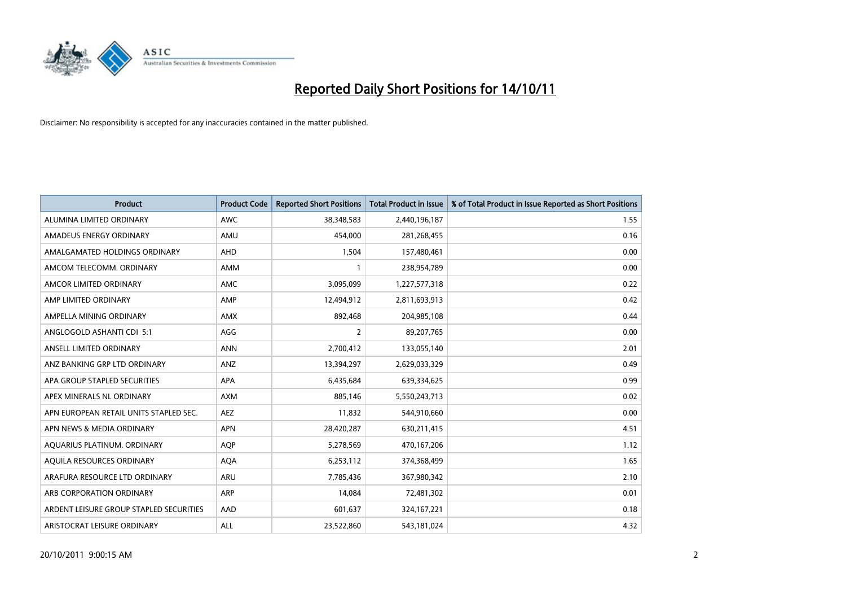

| <b>Product</b>                          | <b>Product Code</b> | <b>Reported Short Positions</b> | <b>Total Product in Issue</b> | % of Total Product in Issue Reported as Short Positions |
|-----------------------------------------|---------------------|---------------------------------|-------------------------------|---------------------------------------------------------|
| ALUMINA LIMITED ORDINARY                | <b>AWC</b>          | 38,348,583                      | 2,440,196,187                 | 1.55                                                    |
| AMADEUS ENERGY ORDINARY                 | AMU                 | 454,000                         | 281,268,455                   | 0.16                                                    |
| AMALGAMATED HOLDINGS ORDINARY           | <b>AHD</b>          | 1,504                           | 157,480,461                   | 0.00                                                    |
| AMCOM TELECOMM. ORDINARY                | <b>AMM</b>          |                                 | 238,954,789                   | 0.00                                                    |
| AMCOR LIMITED ORDINARY                  | <b>AMC</b>          | 3,095,099                       | 1,227,577,318                 | 0.22                                                    |
| AMP LIMITED ORDINARY                    | AMP                 | 12,494,912                      | 2,811,693,913                 | 0.42                                                    |
| AMPELLA MINING ORDINARY                 | <b>AMX</b>          | 892,468                         | 204,985,108                   | 0.44                                                    |
| ANGLOGOLD ASHANTI CDI 5:1               | AGG                 | 2                               | 89,207,765                    | 0.00                                                    |
| ANSELL LIMITED ORDINARY                 | <b>ANN</b>          | 2,700,412                       | 133,055,140                   | 2.01                                                    |
| ANZ BANKING GRP LTD ORDINARY            | ANZ                 | 13,394,297                      | 2,629,033,329                 | 0.49                                                    |
| APA GROUP STAPLED SECURITIES            | <b>APA</b>          | 6,435,684                       | 639,334,625                   | 0.99                                                    |
| APEX MINERALS NL ORDINARY               | <b>AXM</b>          | 885,146                         | 5,550,243,713                 | 0.02                                                    |
| APN EUROPEAN RETAIL UNITS STAPLED SEC.  | <b>AEZ</b>          | 11,832                          | 544,910,660                   | 0.00                                                    |
| APN NEWS & MEDIA ORDINARY               | <b>APN</b>          | 28,420,287                      | 630,211,415                   | 4.51                                                    |
| AQUARIUS PLATINUM. ORDINARY             | <b>AOP</b>          | 5,278,569                       | 470,167,206                   | 1.12                                                    |
| AQUILA RESOURCES ORDINARY               | <b>AQA</b>          | 6,253,112                       | 374,368,499                   | 1.65                                                    |
| ARAFURA RESOURCE LTD ORDINARY           | ARU                 | 7,785,436                       | 367,980,342                   | 2.10                                                    |
| ARB CORPORATION ORDINARY                | <b>ARP</b>          | 14,084                          | 72,481,302                    | 0.01                                                    |
| ARDENT LEISURE GROUP STAPLED SECURITIES | AAD                 | 601,637                         | 324, 167, 221                 | 0.18                                                    |
| ARISTOCRAT LEISURE ORDINARY             | <b>ALL</b>          | 23,522,860                      | 543,181,024                   | 4.32                                                    |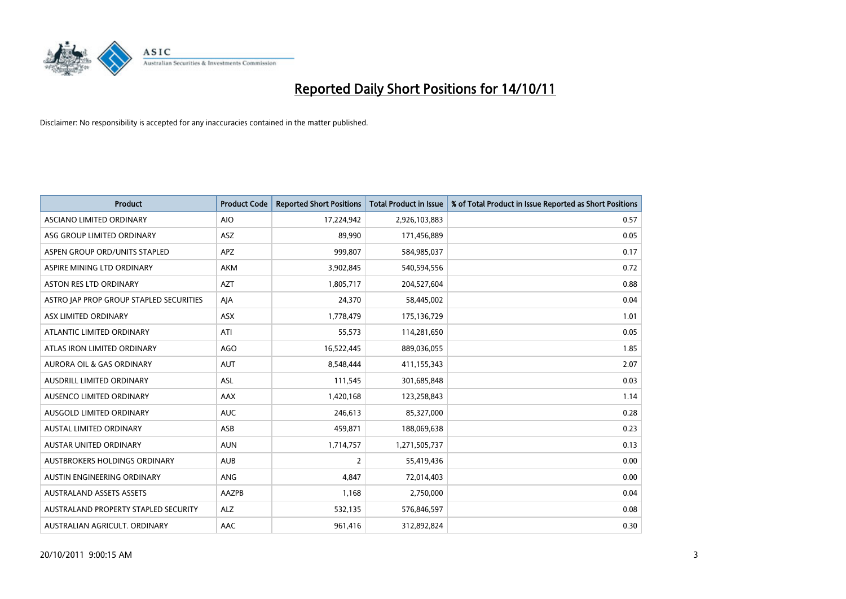

| <b>Product</b>                          | <b>Product Code</b> | <b>Reported Short Positions</b> | <b>Total Product in Issue</b> | % of Total Product in Issue Reported as Short Positions |
|-----------------------------------------|---------------------|---------------------------------|-------------------------------|---------------------------------------------------------|
| ASCIANO LIMITED ORDINARY                | <b>AIO</b>          | 17,224,942                      | 2,926,103,883                 | 0.57                                                    |
| ASG GROUP LIMITED ORDINARY              | <b>ASZ</b>          | 89,990                          | 171,456,889                   | 0.05                                                    |
| ASPEN GROUP ORD/UNITS STAPLED           | <b>APZ</b>          | 999,807                         | 584,985,037                   | 0.17                                                    |
| ASPIRE MINING LTD ORDINARY              | <b>AKM</b>          | 3,902,845                       | 540,594,556                   | 0.72                                                    |
| <b>ASTON RES LTD ORDINARY</b>           | <b>AZT</b>          | 1,805,717                       | 204,527,604                   | 0.88                                                    |
| ASTRO JAP PROP GROUP STAPLED SECURITIES | AIA                 | 24,370                          | 58,445,002                    | 0.04                                                    |
| ASX LIMITED ORDINARY                    | <b>ASX</b>          | 1,778,479                       | 175,136,729                   | 1.01                                                    |
| ATLANTIC LIMITED ORDINARY               | ATI                 | 55,573                          | 114,281,650                   | 0.05                                                    |
| ATLAS IRON LIMITED ORDINARY             | AGO                 | 16,522,445                      | 889,036,055                   | 1.85                                                    |
| <b>AURORA OIL &amp; GAS ORDINARY</b>    | <b>AUT</b>          | 8,548,444                       | 411,155,343                   | 2.07                                                    |
| AUSDRILL LIMITED ORDINARY               | ASL                 | 111,545                         | 301,685,848                   | 0.03                                                    |
| AUSENCO LIMITED ORDINARY                | AAX                 | 1,420,168                       | 123,258,843                   | 1.14                                                    |
| AUSGOLD LIMITED ORDINARY                | <b>AUC</b>          | 246,613                         | 85,327,000                    | 0.28                                                    |
| <b>AUSTAL LIMITED ORDINARY</b>          | ASB                 | 459,871                         | 188,069,638                   | 0.23                                                    |
| <b>AUSTAR UNITED ORDINARY</b>           | <b>AUN</b>          | 1,714,757                       | 1,271,505,737                 | 0.13                                                    |
| AUSTBROKERS HOLDINGS ORDINARY           | <b>AUB</b>          | $\overline{2}$                  | 55,419,436                    | 0.00                                                    |
| AUSTIN ENGINEERING ORDINARY             | ANG                 | 4,847                           | 72,014,403                    | 0.00                                                    |
| <b>AUSTRALAND ASSETS ASSETS</b>         | AAZPB               | 1,168                           | 2,750,000                     | 0.04                                                    |
| AUSTRALAND PROPERTY STAPLED SECURITY    | <b>ALZ</b>          | 532,135                         | 576,846,597                   | 0.08                                                    |
| AUSTRALIAN AGRICULT. ORDINARY           | AAC                 | 961,416                         | 312,892,824                   | 0.30                                                    |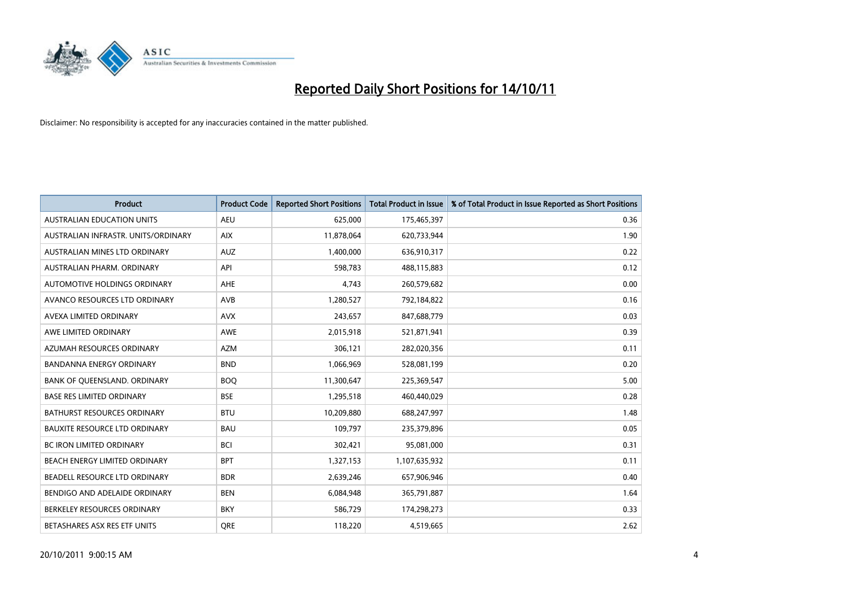

| <b>Product</b>                       | <b>Product Code</b> | <b>Reported Short Positions</b> | <b>Total Product in Issue</b> | % of Total Product in Issue Reported as Short Positions |
|--------------------------------------|---------------------|---------------------------------|-------------------------------|---------------------------------------------------------|
| <b>AUSTRALIAN EDUCATION UNITS</b>    | <b>AEU</b>          | 625,000                         | 175,465,397                   | 0.36                                                    |
| AUSTRALIAN INFRASTR, UNITS/ORDINARY  | <b>AIX</b>          | 11,878,064                      | 620,733,944                   | 1.90                                                    |
| AUSTRALIAN MINES LTD ORDINARY        | <b>AUZ</b>          | 1,400,000                       | 636,910,317                   | 0.22                                                    |
| AUSTRALIAN PHARM. ORDINARY           | API                 | 598,783                         | 488,115,883                   | 0.12                                                    |
| AUTOMOTIVE HOLDINGS ORDINARY         | <b>AHE</b>          | 4,743                           | 260,579,682                   | 0.00                                                    |
| AVANCO RESOURCES LTD ORDINARY        | <b>AVB</b>          | 1,280,527                       | 792,184,822                   | 0.16                                                    |
| AVEXA LIMITED ORDINARY               | <b>AVX</b>          | 243,657                         | 847,688,779                   | 0.03                                                    |
| AWE LIMITED ORDINARY                 | <b>AWE</b>          | 2,015,918                       | 521,871,941                   | 0.39                                                    |
| AZUMAH RESOURCES ORDINARY            | <b>AZM</b>          | 306,121                         | 282,020,356                   | 0.11                                                    |
| <b>BANDANNA ENERGY ORDINARY</b>      | <b>BND</b>          | 1,066,969                       | 528,081,199                   | 0.20                                                    |
| BANK OF QUEENSLAND. ORDINARY         | <b>BOQ</b>          | 11,300,647                      | 225,369,547                   | 5.00                                                    |
| <b>BASE RES LIMITED ORDINARY</b>     | <b>BSE</b>          | 1,295,518                       | 460,440,029                   | 0.28                                                    |
| <b>BATHURST RESOURCES ORDINARY</b>   | <b>BTU</b>          | 10,209,880                      | 688,247,997                   | 1.48                                                    |
| <b>BAUXITE RESOURCE LTD ORDINARY</b> | <b>BAU</b>          | 109,797                         | 235,379,896                   | 0.05                                                    |
| <b>BC IRON LIMITED ORDINARY</b>      | <b>BCI</b>          | 302,421                         | 95,081,000                    | 0.31                                                    |
| BEACH ENERGY LIMITED ORDINARY        | <b>BPT</b>          | 1,327,153                       | 1,107,635,932                 | 0.11                                                    |
| BEADELL RESOURCE LTD ORDINARY        | <b>BDR</b>          | 2,639,246                       | 657,906,946                   | 0.40                                                    |
| BENDIGO AND ADELAIDE ORDINARY        | <b>BEN</b>          | 6,084,948                       | 365,791,887                   | 1.64                                                    |
| BERKELEY RESOURCES ORDINARY          | <b>BKY</b>          | 586,729                         | 174,298,273                   | 0.33                                                    |
| BETASHARES ASX RES ETF UNITS         | <b>ORE</b>          | 118,220                         | 4,519,665                     | 2.62                                                    |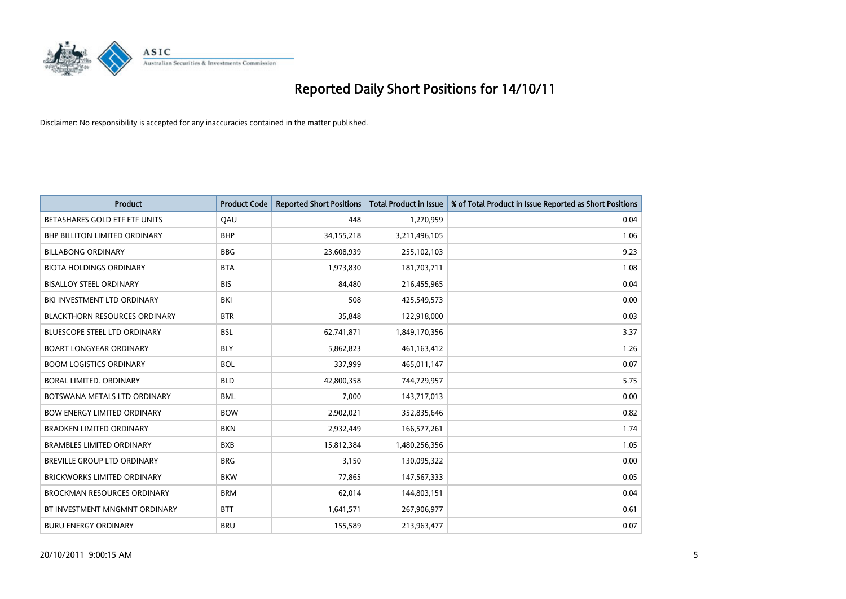

| <b>Product</b>                       | <b>Product Code</b> | <b>Reported Short Positions</b> | <b>Total Product in Issue</b> | % of Total Product in Issue Reported as Short Positions |
|--------------------------------------|---------------------|---------------------------------|-------------------------------|---------------------------------------------------------|
| BETASHARES GOLD ETF ETF UNITS        | OAU                 | 448                             | 1,270,959                     | 0.04                                                    |
| <b>BHP BILLITON LIMITED ORDINARY</b> | <b>BHP</b>          | 34,155,218                      | 3,211,496,105                 | 1.06                                                    |
| <b>BILLABONG ORDINARY</b>            | <b>BBG</b>          | 23,608,939                      | 255,102,103                   | 9.23                                                    |
| <b>BIOTA HOLDINGS ORDINARY</b>       | <b>BTA</b>          | 1,973,830                       | 181,703,711                   | 1.08                                                    |
| <b>BISALLOY STEEL ORDINARY</b>       | <b>BIS</b>          | 84,480                          | 216,455,965                   | 0.04                                                    |
| BKI INVESTMENT LTD ORDINARY          | BKI                 | 508                             | 425,549,573                   | 0.00                                                    |
| <b>BLACKTHORN RESOURCES ORDINARY</b> | <b>BTR</b>          | 35,848                          | 122,918,000                   | 0.03                                                    |
| <b>BLUESCOPE STEEL LTD ORDINARY</b>  | <b>BSL</b>          | 62,741,871                      | 1,849,170,356                 | 3.37                                                    |
| <b>BOART LONGYEAR ORDINARY</b>       | <b>BLY</b>          | 5,862,823                       | 461, 163, 412                 | 1.26                                                    |
| <b>BOOM LOGISTICS ORDINARY</b>       | <b>BOL</b>          | 337,999                         | 465,011,147                   | 0.07                                                    |
| BORAL LIMITED, ORDINARY              | <b>BLD</b>          | 42,800,358                      | 744,729,957                   | 5.75                                                    |
| BOTSWANA METALS LTD ORDINARY         | <b>BML</b>          | 7,000                           | 143,717,013                   | 0.00                                                    |
| <b>BOW ENERGY LIMITED ORDINARY</b>   | <b>BOW</b>          | 2,902,021                       | 352,835,646                   | 0.82                                                    |
| <b>BRADKEN LIMITED ORDINARY</b>      | <b>BKN</b>          | 2,932,449                       | 166,577,261                   | 1.74                                                    |
| <b>BRAMBLES LIMITED ORDINARY</b>     | <b>BXB</b>          | 15,812,384                      | 1,480,256,356                 | 1.05                                                    |
| <b>BREVILLE GROUP LTD ORDINARY</b>   | <b>BRG</b>          | 3,150                           | 130,095,322                   | 0.00                                                    |
| <b>BRICKWORKS LIMITED ORDINARY</b>   | <b>BKW</b>          | 77,865                          | 147,567,333                   | 0.05                                                    |
| <b>BROCKMAN RESOURCES ORDINARY</b>   | <b>BRM</b>          | 62,014                          | 144,803,151                   | 0.04                                                    |
| BT INVESTMENT MNGMNT ORDINARY        | <b>BTT</b>          | 1,641,571                       | 267,906,977                   | 0.61                                                    |
| <b>BURU ENERGY ORDINARY</b>          | <b>BRU</b>          | 155,589                         | 213,963,477                   | 0.07                                                    |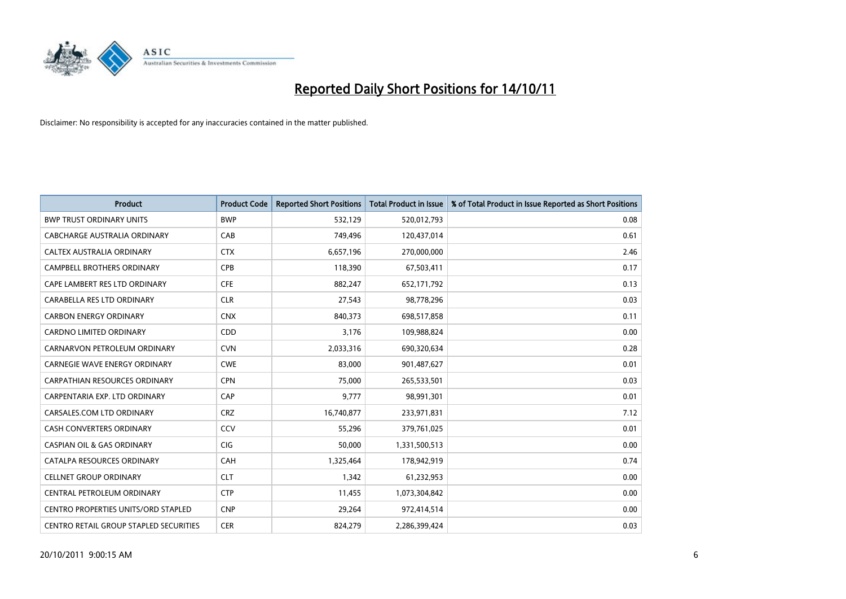

| <b>Product</b>                                | <b>Product Code</b> | <b>Reported Short Positions</b> | Total Product in Issue | % of Total Product in Issue Reported as Short Positions |
|-----------------------------------------------|---------------------|---------------------------------|------------------------|---------------------------------------------------------|
| <b>BWP TRUST ORDINARY UNITS</b>               | <b>BWP</b>          | 532,129                         | 520,012,793            | 0.08                                                    |
| CABCHARGE AUSTRALIA ORDINARY                  | CAB                 | 749.496                         | 120,437,014            | 0.61                                                    |
| <b>CALTEX AUSTRALIA ORDINARY</b>              | <b>CTX</b>          | 6,657,196                       | 270,000,000            | 2.46                                                    |
| CAMPBELL BROTHERS ORDINARY                    | <b>CPB</b>          | 118,390                         | 67,503,411             | 0.17                                                    |
| CAPE LAMBERT RES LTD ORDINARY                 | <b>CFE</b>          | 882.247                         | 652,171,792            | 0.13                                                    |
| CARABELLA RES LTD ORDINARY                    | <b>CLR</b>          | 27,543                          | 98,778,296             | 0.03                                                    |
| <b>CARBON ENERGY ORDINARY</b>                 | <b>CNX</b>          | 840.373                         | 698,517,858            | 0.11                                                    |
| <b>CARDNO LIMITED ORDINARY</b>                | <b>CDD</b>          | 3,176                           | 109,988,824            | 0.00                                                    |
| CARNARVON PETROLEUM ORDINARY                  | <b>CVN</b>          | 2,033,316                       | 690,320,634            | 0.28                                                    |
| <b>CARNEGIE WAVE ENERGY ORDINARY</b>          | <b>CWE</b>          | 83.000                          | 901,487,627            | 0.01                                                    |
| <b>CARPATHIAN RESOURCES ORDINARY</b>          | <b>CPN</b>          | 75,000                          | 265,533,501            | 0.03                                                    |
| CARPENTARIA EXP. LTD ORDINARY                 | CAP                 | 9,777                           | 98,991,301             | 0.01                                                    |
| CARSALES.COM LTD ORDINARY                     | <b>CRZ</b>          | 16,740,877                      | 233,971,831            | 7.12                                                    |
| <b>CASH CONVERTERS ORDINARY</b>               | CCV                 | 55,296                          | 379,761,025            | 0.01                                                    |
| <b>CASPIAN OIL &amp; GAS ORDINARY</b>         | <b>CIG</b>          | 50,000                          | 1,331,500,513          | 0.00                                                    |
| CATALPA RESOURCES ORDINARY                    | CAH                 | 1,325,464                       | 178,942,919            | 0.74                                                    |
| <b>CELLNET GROUP ORDINARY</b>                 | <b>CLT</b>          | 1,342                           | 61,232,953             | 0.00                                                    |
| CENTRAL PETROLEUM ORDINARY                    | <b>CTP</b>          | 11,455                          | 1,073,304,842          | 0.00                                                    |
| <b>CENTRO PROPERTIES UNITS/ORD STAPLED</b>    | <b>CNP</b>          | 29,264                          | 972,414,514            | 0.00                                                    |
| <b>CENTRO RETAIL GROUP STAPLED SECURITIES</b> | <b>CER</b>          | 824.279                         | 2,286,399,424          | 0.03                                                    |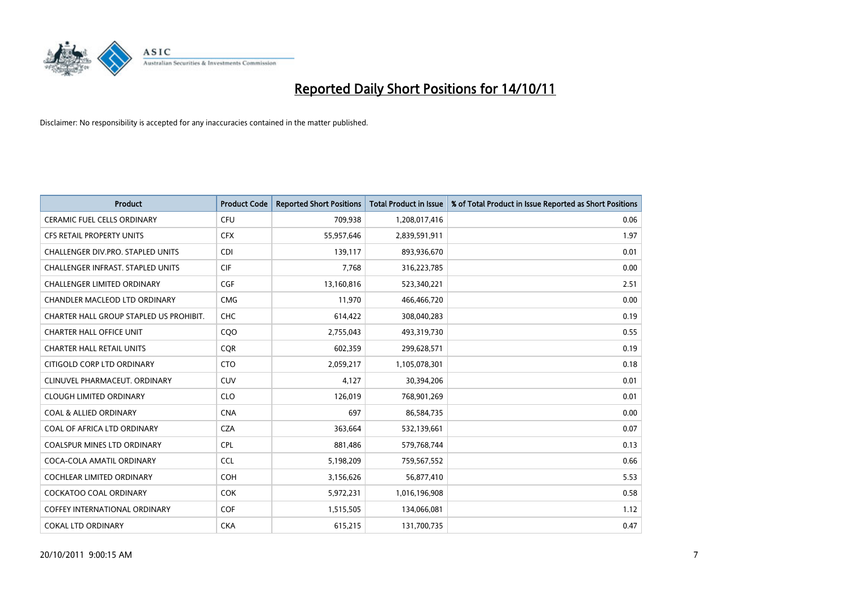

| <b>Product</b>                           | <b>Product Code</b> | <b>Reported Short Positions</b> | <b>Total Product in Issue</b> | % of Total Product in Issue Reported as Short Positions |
|------------------------------------------|---------------------|---------------------------------|-------------------------------|---------------------------------------------------------|
| <b>CERAMIC FUEL CELLS ORDINARY</b>       | <b>CFU</b>          | 709,938                         | 1,208,017,416                 | 0.06                                                    |
| CFS RETAIL PROPERTY UNITS                | <b>CFX</b>          | 55,957,646                      | 2,839,591,911                 | 1.97                                                    |
| CHALLENGER DIV.PRO. STAPLED UNITS        | <b>CDI</b>          | 139,117                         | 893,936,670                   | 0.01                                                    |
| <b>CHALLENGER INFRAST, STAPLED UNITS</b> | <b>CIF</b>          | 7,768                           | 316,223,785                   | 0.00                                                    |
| <b>CHALLENGER LIMITED ORDINARY</b>       | <b>CGF</b>          | 13,160,816                      | 523,340,221                   | 2.51                                                    |
| CHANDLER MACLEOD LTD ORDINARY            | <b>CMG</b>          | 11,970                          | 466,466,720                   | 0.00                                                    |
| CHARTER HALL GROUP STAPLED US PROHIBIT.  | <b>CHC</b>          | 614,422                         | 308,040,283                   | 0.19                                                    |
| <b>CHARTER HALL OFFICE UNIT</b>          | CQO                 | 2,755,043                       | 493,319,730                   | 0.55                                                    |
| <b>CHARTER HALL RETAIL UNITS</b>         | <b>COR</b>          | 602,359                         | 299,628,571                   | 0.19                                                    |
| CITIGOLD CORP LTD ORDINARY               | <b>CTO</b>          | 2,059,217                       | 1,105,078,301                 | 0.18                                                    |
| CLINUVEL PHARMACEUT. ORDINARY            | <b>CUV</b>          | 4,127                           | 30,394,206                    | 0.01                                                    |
| <b>CLOUGH LIMITED ORDINARY</b>           | <b>CLO</b>          | 126,019                         | 768,901,269                   | 0.01                                                    |
| <b>COAL &amp; ALLIED ORDINARY</b>        | <b>CNA</b>          | 697                             | 86,584,735                    | 0.00                                                    |
| COAL OF AFRICA LTD ORDINARY              | <b>CZA</b>          | 363,664                         | 532,139,661                   | 0.07                                                    |
| <b>COALSPUR MINES LTD ORDINARY</b>       | <b>CPL</b>          | 881,486                         | 579,768,744                   | 0.13                                                    |
| COCA-COLA AMATIL ORDINARY                | <b>CCL</b>          | 5,198,209                       | 759,567,552                   | 0.66                                                    |
| <b>COCHLEAR LIMITED ORDINARY</b>         | <b>COH</b>          | 3,156,626                       | 56,877,410                    | 5.53                                                    |
| COCKATOO COAL ORDINARY                   | <b>COK</b>          | 5,972,231                       | 1,016,196,908                 | 0.58                                                    |
| <b>COFFEY INTERNATIONAL ORDINARY</b>     | <b>COF</b>          | 1,515,505                       | 134,066,081                   | 1.12                                                    |
| <b>COKAL LTD ORDINARY</b>                | <b>CKA</b>          | 615,215                         | 131,700,735                   | 0.47                                                    |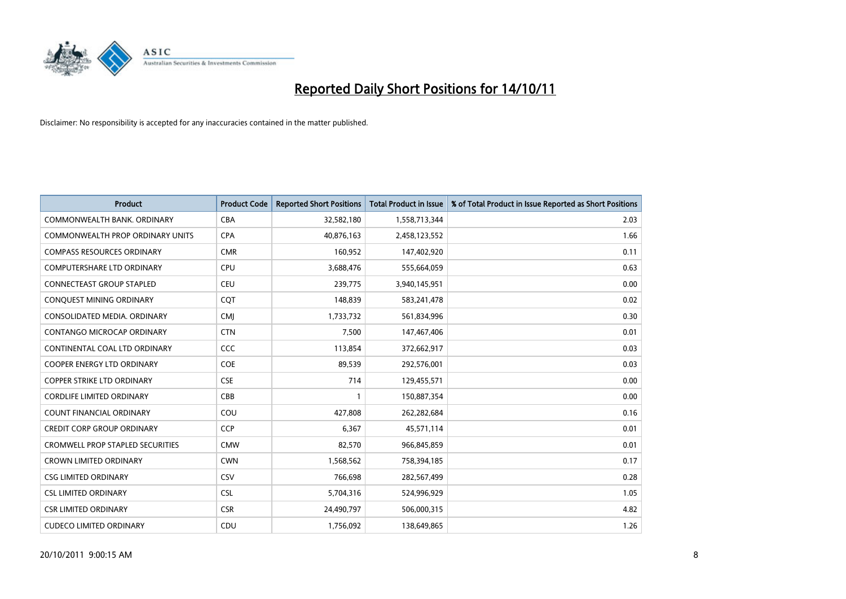

| <b>Product</b>                          | <b>Product Code</b> | <b>Reported Short Positions</b> | <b>Total Product in Issue</b> | % of Total Product in Issue Reported as Short Positions |
|-----------------------------------------|---------------------|---------------------------------|-------------------------------|---------------------------------------------------------|
| COMMONWEALTH BANK, ORDINARY             | <b>CBA</b>          | 32,582,180                      | 1,558,713,344                 | 2.03                                                    |
| COMMONWEALTH PROP ORDINARY UNITS        | <b>CPA</b>          | 40,876,163                      | 2,458,123,552                 | 1.66                                                    |
| <b>COMPASS RESOURCES ORDINARY</b>       | <b>CMR</b>          | 160,952                         | 147,402,920                   | 0.11                                                    |
| <b>COMPUTERSHARE LTD ORDINARY</b>       | CPU                 | 3,688,476                       | 555,664,059                   | 0.63                                                    |
| <b>CONNECTEAST GROUP STAPLED</b>        | <b>CEU</b>          | 239,775                         | 3,940,145,951                 | 0.00                                                    |
| CONQUEST MINING ORDINARY                | COT                 | 148,839                         | 583,241,478                   | 0.02                                                    |
| CONSOLIDATED MEDIA, ORDINARY            | <b>CMI</b>          | 1,733,732                       | 561,834,996                   | 0.30                                                    |
| CONTANGO MICROCAP ORDINARY              | <b>CTN</b>          | 7,500                           | 147,467,406                   | 0.01                                                    |
| CONTINENTAL COAL LTD ORDINARY           | CCC                 | 113,854                         | 372,662,917                   | 0.03                                                    |
| <b>COOPER ENERGY LTD ORDINARY</b>       | COE                 | 89,539                          | 292,576,001                   | 0.03                                                    |
| <b>COPPER STRIKE LTD ORDINARY</b>       | <b>CSE</b>          | 714                             | 129,455,571                   | 0.00                                                    |
| <b>CORDLIFE LIMITED ORDINARY</b>        | CBB                 |                                 | 150,887,354                   | 0.00                                                    |
| <b>COUNT FINANCIAL ORDINARY</b>         | COU                 | 427,808                         | 262,282,684                   | 0.16                                                    |
| <b>CREDIT CORP GROUP ORDINARY</b>       | <b>CCP</b>          | 6,367                           | 45,571,114                    | 0.01                                                    |
| <b>CROMWELL PROP STAPLED SECURITIES</b> | <b>CMW</b>          | 82,570                          | 966,845,859                   | 0.01                                                    |
| <b>CROWN LIMITED ORDINARY</b>           | <b>CWN</b>          | 1,568,562                       | 758,394,185                   | 0.17                                                    |
| <b>CSG LIMITED ORDINARY</b>             | CSV                 | 766,698                         | 282,567,499                   | 0.28                                                    |
| <b>CSL LIMITED ORDINARY</b>             | <b>CSL</b>          | 5,704,316                       | 524,996,929                   | 1.05                                                    |
| <b>CSR LIMITED ORDINARY</b>             | <b>CSR</b>          | 24,490,797                      | 506,000,315                   | 4.82                                                    |
| <b>CUDECO LIMITED ORDINARY</b>          | CDU                 | 1,756,092                       | 138,649,865                   | 1.26                                                    |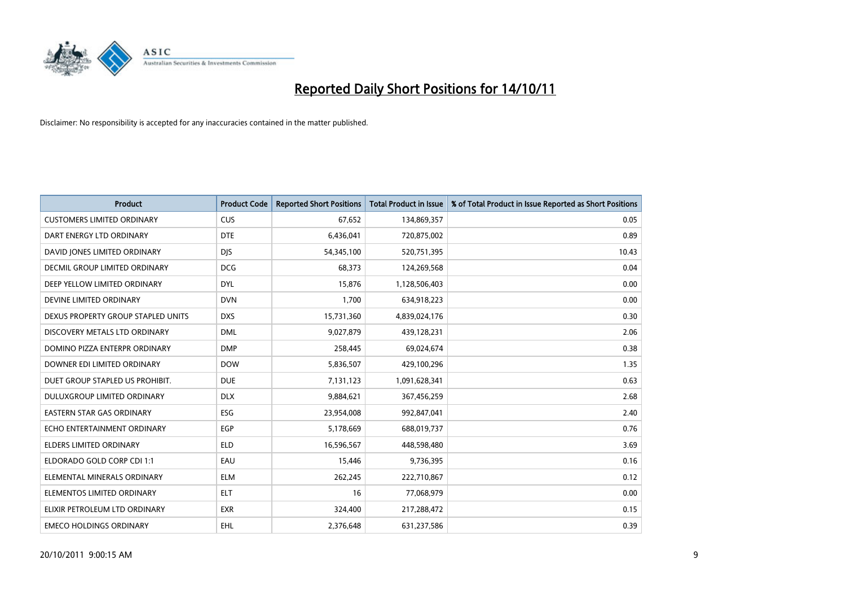

| <b>Product</b>                     | <b>Product Code</b> | <b>Reported Short Positions</b> | <b>Total Product in Issue</b> | % of Total Product in Issue Reported as Short Positions |
|------------------------------------|---------------------|---------------------------------|-------------------------------|---------------------------------------------------------|
| <b>CUSTOMERS LIMITED ORDINARY</b>  | <b>CUS</b>          | 67,652                          | 134,869,357                   | 0.05                                                    |
| DART ENERGY LTD ORDINARY           | <b>DTE</b>          | 6,436,041                       | 720,875,002                   | 0.89                                                    |
| DAVID JONES LIMITED ORDINARY       | <b>DJS</b>          | 54,345,100                      | 520,751,395                   | 10.43                                                   |
| DECMIL GROUP LIMITED ORDINARY      | <b>DCG</b>          | 68,373                          | 124,269,568                   | 0.04                                                    |
| DEEP YELLOW LIMITED ORDINARY       | <b>DYL</b>          | 15,876                          | 1,128,506,403                 | 0.00                                                    |
| DEVINE LIMITED ORDINARY            | <b>DVN</b>          | 1,700                           | 634,918,223                   | 0.00                                                    |
| DEXUS PROPERTY GROUP STAPLED UNITS | <b>DXS</b>          | 15,731,360                      | 4,839,024,176                 | 0.30                                                    |
| DISCOVERY METALS LTD ORDINARY      | <b>DML</b>          | 9,027,879                       | 439,128,231                   | 2.06                                                    |
| DOMINO PIZZA ENTERPR ORDINARY      | <b>DMP</b>          | 258,445                         | 69,024,674                    | 0.38                                                    |
| DOWNER EDI LIMITED ORDINARY        | <b>DOW</b>          | 5,836,507                       | 429,100,296                   | 1.35                                                    |
| DUET GROUP STAPLED US PROHIBIT.    | <b>DUE</b>          | 7,131,123                       | 1,091,628,341                 | 0.63                                                    |
| DULUXGROUP LIMITED ORDINARY        | <b>DLX</b>          | 9,884,621                       | 367,456,259                   | 2.68                                                    |
| EASTERN STAR GAS ORDINARY          | ESG                 | 23,954,008                      | 992,847,041                   | 2.40                                                    |
| ECHO ENTERTAINMENT ORDINARY        | <b>EGP</b>          | 5,178,669                       | 688,019,737                   | 0.76                                                    |
| <b>ELDERS LIMITED ORDINARY</b>     | <b>ELD</b>          | 16,596,567                      | 448,598,480                   | 3.69                                                    |
| ELDORADO GOLD CORP CDI 1:1         | EAU                 | 15,446                          | 9,736,395                     | 0.16                                                    |
| ELEMENTAL MINERALS ORDINARY        | <b>ELM</b>          | 262,245                         | 222,710,867                   | 0.12                                                    |
| ELEMENTOS LIMITED ORDINARY         | <b>ELT</b>          | 16                              | 77,068,979                    | 0.00                                                    |
| ELIXIR PETROLEUM LTD ORDINARY      | <b>EXR</b>          | 324,400                         | 217,288,472                   | 0.15                                                    |
| <b>EMECO HOLDINGS ORDINARY</b>     | <b>EHL</b>          | 2,376,648                       | 631,237,586                   | 0.39                                                    |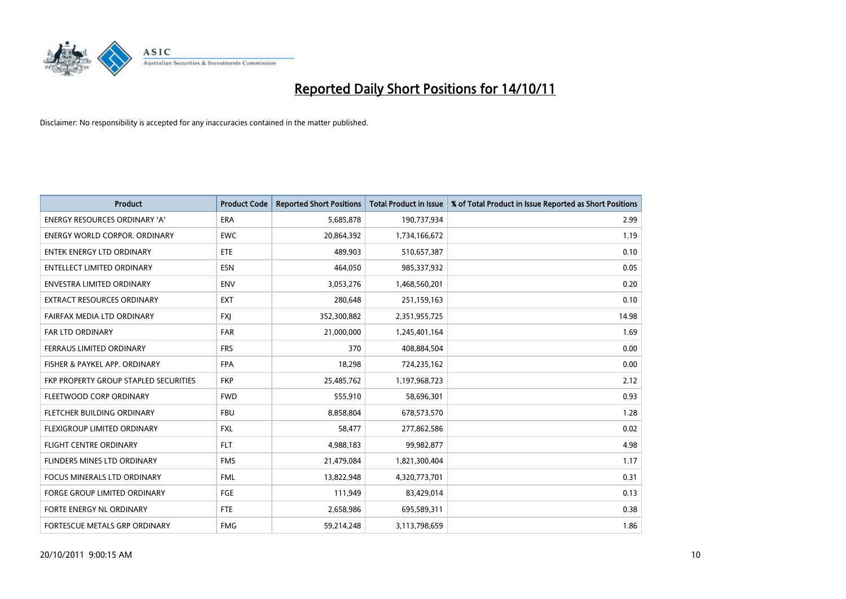

| <b>Product</b>                        | <b>Product Code</b> | <b>Reported Short Positions</b> | <b>Total Product in Issue</b> | % of Total Product in Issue Reported as Short Positions |
|---------------------------------------|---------------------|---------------------------------|-------------------------------|---------------------------------------------------------|
| <b>ENERGY RESOURCES ORDINARY 'A'</b>  | <b>ERA</b>          | 5,685,878                       | 190,737,934                   | 2.99                                                    |
| <b>ENERGY WORLD CORPOR, ORDINARY</b>  | <b>EWC</b>          | 20,864,392                      | 1,734,166,672                 | 1.19                                                    |
| ENTEK ENERGY LTD ORDINARY             | ETE                 | 489,903                         | 510,657,387                   | 0.10                                                    |
| ENTELLECT LIMITED ORDINARY            | <b>ESN</b>          | 464,050                         | 985,337,932                   | 0.05                                                    |
| <b>ENVESTRA LIMITED ORDINARY</b>      | <b>ENV</b>          | 3,053,276                       | 1,468,560,201                 | 0.20                                                    |
| <b>EXTRACT RESOURCES ORDINARY</b>     | <b>EXT</b>          | 280,648                         | 251,159,163                   | 0.10                                                    |
| FAIRFAX MEDIA LTD ORDINARY            | <b>FXI</b>          | 352,300,882                     | 2,351,955,725                 | 14.98                                                   |
| <b>FAR LTD ORDINARY</b>               | <b>FAR</b>          | 21,000,000                      | 1,245,401,164                 | 1.69                                                    |
| FERRAUS LIMITED ORDINARY              | <b>FRS</b>          | 370                             | 408,884,504                   | 0.00                                                    |
| FISHER & PAYKEL APP. ORDINARY         | <b>FPA</b>          | 18,298                          | 724,235,162                   | 0.00                                                    |
| FKP PROPERTY GROUP STAPLED SECURITIES | <b>FKP</b>          | 25,485,762                      | 1,197,968,723                 | 2.12                                                    |
| FLEETWOOD CORP ORDINARY               | <b>FWD</b>          | 555,910                         | 58,696,301                    | 0.93                                                    |
| FLETCHER BUILDING ORDINARY            | <b>FBU</b>          | 8,858,804                       | 678,573,570                   | 1.28                                                    |
| <b>FLEXIGROUP LIMITED ORDINARY</b>    | <b>FXL</b>          | 58.477                          | 277,862,586                   | 0.02                                                    |
| <b>FLIGHT CENTRE ORDINARY</b>         | <b>FLT</b>          | 4,988,183                       | 99,982,877                    | 4.98                                                    |
| FLINDERS MINES LTD ORDINARY           | <b>FMS</b>          | 21,479,084                      | 1,821,300,404                 | 1.17                                                    |
| <b>FOCUS MINERALS LTD ORDINARY</b>    | <b>FML</b>          | 13,822,948                      | 4,320,773,701                 | 0.31                                                    |
| FORGE GROUP LIMITED ORDINARY          | FGE                 | 111,949                         | 83,429,014                    | 0.13                                                    |
| FORTE ENERGY NL ORDINARY              | FTE                 | 2,658,986                       | 695,589,311                   | 0.38                                                    |
| FORTESCUE METALS GRP ORDINARY         | <b>FMG</b>          | 59,214,248                      | 3,113,798,659                 | 1.86                                                    |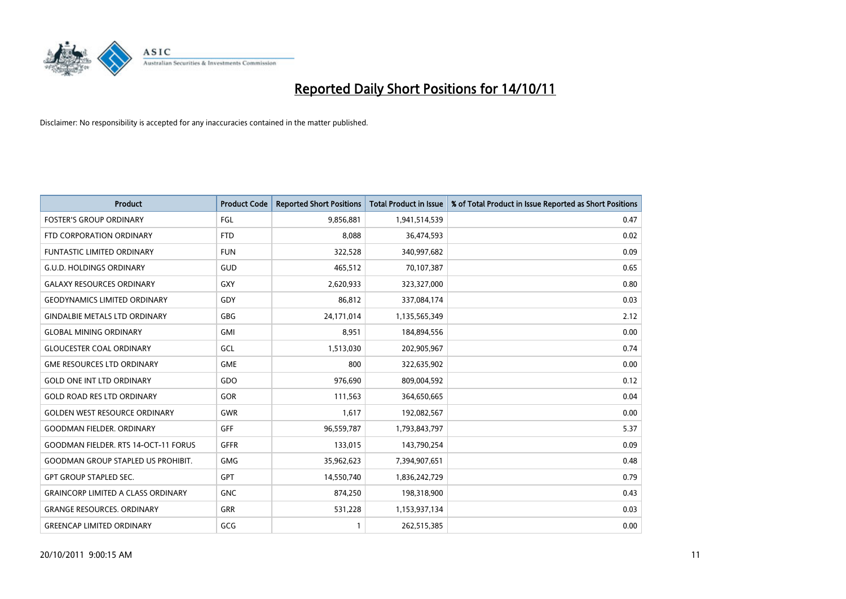

| <b>Product</b>                              | <b>Product Code</b> | <b>Reported Short Positions</b> | <b>Total Product in Issue</b> | % of Total Product in Issue Reported as Short Positions |
|---------------------------------------------|---------------------|---------------------------------|-------------------------------|---------------------------------------------------------|
| <b>FOSTER'S GROUP ORDINARY</b>              | FGL                 | 9,856,881                       | 1,941,514,539                 | 0.47                                                    |
| FTD CORPORATION ORDINARY                    | <b>FTD</b>          | 8,088                           | 36,474,593                    | 0.02                                                    |
| <b>FUNTASTIC LIMITED ORDINARY</b>           | <b>FUN</b>          | 322,528                         | 340,997,682                   | 0.09                                                    |
| <b>G.U.D. HOLDINGS ORDINARY</b>             | GUD                 | 465,512                         | 70,107,387                    | 0.65                                                    |
| <b>GALAXY RESOURCES ORDINARY</b>            | GXY                 | 2,620,933                       | 323,327,000                   | 0.80                                                    |
| <b>GEODYNAMICS LIMITED ORDINARY</b>         | GDY                 | 86,812                          | 337,084,174                   | 0.03                                                    |
| <b>GINDALBIE METALS LTD ORDINARY</b>        | GBG                 | 24,171,014                      | 1,135,565,349                 | 2.12                                                    |
| <b>GLOBAL MINING ORDINARY</b>               | <b>GMI</b>          | 8,951                           | 184,894,556                   | 0.00                                                    |
| <b>GLOUCESTER COAL ORDINARY</b>             | GCL                 | 1,513,030                       | 202,905,967                   | 0.74                                                    |
| <b>GME RESOURCES LTD ORDINARY</b>           | <b>GME</b>          | 800                             | 322,635,902                   | 0.00                                                    |
| <b>GOLD ONE INT LTD ORDINARY</b>            | GDO                 | 976,690                         | 809,004,592                   | 0.12                                                    |
| <b>GOLD ROAD RES LTD ORDINARY</b>           | GOR                 | 111,563                         | 364,650,665                   | 0.04                                                    |
| <b>GOLDEN WEST RESOURCE ORDINARY</b>        | <b>GWR</b>          | 1,617                           | 192,082,567                   | 0.00                                                    |
| <b>GOODMAN FIELDER, ORDINARY</b>            | <b>GFF</b>          | 96,559,787                      | 1,793,843,797                 | 5.37                                                    |
| <b>GOODMAN FIELDER. RTS 14-OCT-11 FORUS</b> | <b>GFFR</b>         | 133,015                         | 143,790,254                   | 0.09                                                    |
| <b>GOODMAN GROUP STAPLED US PROHIBIT.</b>   | GMG                 | 35,962,623                      | 7,394,907,651                 | 0.48                                                    |
| <b>GPT GROUP STAPLED SEC.</b>               | GPT                 | 14,550,740                      | 1,836,242,729                 | 0.79                                                    |
| <b>GRAINCORP LIMITED A CLASS ORDINARY</b>   | <b>GNC</b>          | 874,250                         | 198,318,900                   | 0.43                                                    |
| <b>GRANGE RESOURCES, ORDINARY</b>           | GRR                 | 531,228                         | 1,153,937,134                 | 0.03                                                    |
| <b>GREENCAP LIMITED ORDINARY</b>            | GCG                 |                                 | 262,515,385                   | 0.00                                                    |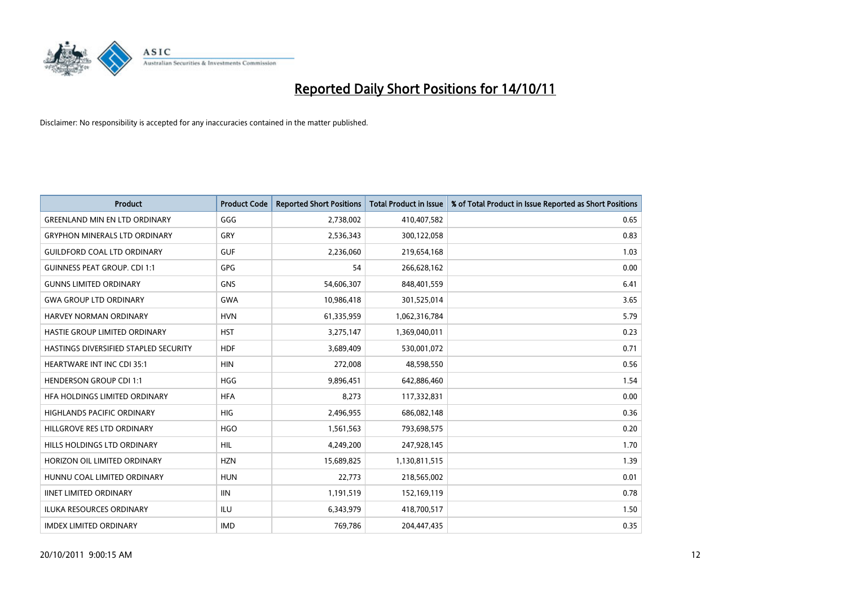

| <b>Product</b>                        | <b>Product Code</b> | <b>Reported Short Positions</b> | <b>Total Product in Issue</b> | % of Total Product in Issue Reported as Short Positions |
|---------------------------------------|---------------------|---------------------------------|-------------------------------|---------------------------------------------------------|
| <b>GREENLAND MIN EN LTD ORDINARY</b>  | GGG                 | 2,738,002                       | 410,407,582                   | 0.65                                                    |
| <b>GRYPHON MINERALS LTD ORDINARY</b>  | GRY                 | 2,536,343                       | 300,122,058                   | 0.83                                                    |
| <b>GUILDFORD COAL LTD ORDINARY</b>    | <b>GUF</b>          | 2,236,060                       | 219,654,168                   | 1.03                                                    |
| <b>GUINNESS PEAT GROUP. CDI 1:1</b>   | <b>GPG</b>          | 54                              | 266,628,162                   | 0.00                                                    |
| <b>GUNNS LIMITED ORDINARY</b>         | <b>GNS</b>          | 54,606,307                      | 848,401,559                   | 6.41                                                    |
| <b>GWA GROUP LTD ORDINARY</b>         | <b>GWA</b>          | 10,986,418                      | 301,525,014                   | 3.65                                                    |
| HARVEY NORMAN ORDINARY                | <b>HVN</b>          | 61,335,959                      | 1,062,316,784                 | 5.79                                                    |
| HASTIE GROUP LIMITED ORDINARY         | <b>HST</b>          | 3,275,147                       | 1,369,040,011                 | 0.23                                                    |
| HASTINGS DIVERSIFIED STAPLED SECURITY | <b>HDF</b>          | 3,689,409                       | 530,001,072                   | 0.71                                                    |
| <b>HEARTWARE INT INC CDI 35:1</b>     | <b>HIN</b>          | 272,008                         | 48,598,550                    | 0.56                                                    |
| <b>HENDERSON GROUP CDI 1:1</b>        | <b>HGG</b>          | 9,896,451                       | 642,886,460                   | 1.54                                                    |
| HFA HOLDINGS LIMITED ORDINARY         | <b>HFA</b>          | 8,273                           | 117,332,831                   | 0.00                                                    |
| HIGHLANDS PACIFIC ORDINARY            | <b>HIG</b>          | 2,496,955                       | 686,082,148                   | 0.36                                                    |
| HILLGROVE RES LTD ORDINARY            | <b>HGO</b>          | 1,561,563                       | 793,698,575                   | 0.20                                                    |
| HILLS HOLDINGS LTD ORDINARY           | <b>HIL</b>          | 4,249,200                       | 247,928,145                   | 1.70                                                    |
| HORIZON OIL LIMITED ORDINARY          | <b>HZN</b>          | 15,689,825                      | 1,130,811,515                 | 1.39                                                    |
| HUNNU COAL LIMITED ORDINARY           | <b>HUN</b>          | 22,773                          | 218,565,002                   | 0.01                                                    |
| <b>IINET LIMITED ORDINARY</b>         | <b>IIN</b>          | 1,191,519                       | 152,169,119                   | 0.78                                                    |
| <b>ILUKA RESOURCES ORDINARY</b>       | ILU                 | 6,343,979                       | 418,700,517                   | 1.50                                                    |
| <b>IMDEX LIMITED ORDINARY</b>         | <b>IMD</b>          | 769,786                         | 204,447,435                   | 0.35                                                    |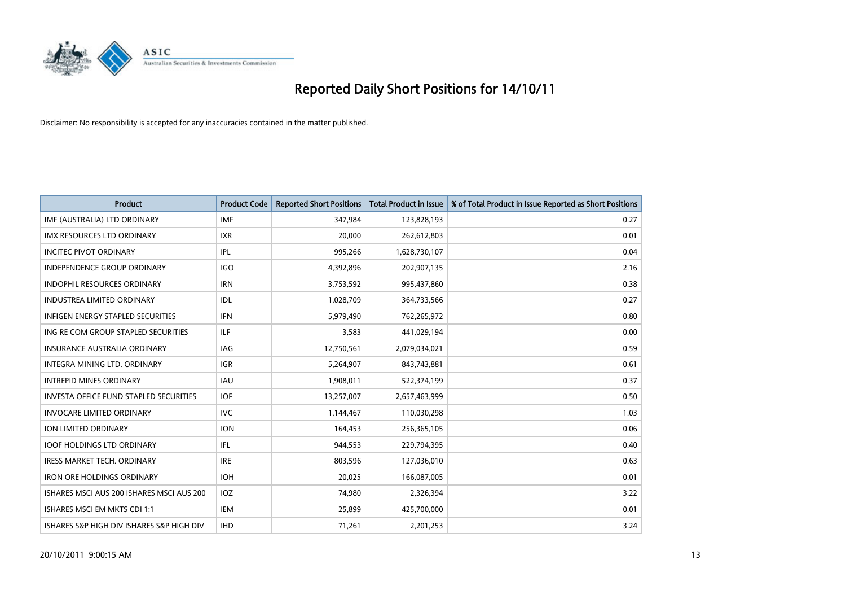

| <b>Product</b>                                | <b>Product Code</b> | <b>Reported Short Positions</b> | <b>Total Product in Issue</b> | % of Total Product in Issue Reported as Short Positions |
|-----------------------------------------------|---------------------|---------------------------------|-------------------------------|---------------------------------------------------------|
| IMF (AUSTRALIA) LTD ORDINARY                  | <b>IMF</b>          | 347,984                         | 123,828,193                   | 0.27                                                    |
| IMX RESOURCES LTD ORDINARY                    | <b>IXR</b>          | 20,000                          | 262,612,803                   | 0.01                                                    |
| <b>INCITEC PIVOT ORDINARY</b>                 | IPL                 | 995,266                         | 1,628,730,107                 | 0.04                                                    |
| INDEPENDENCE GROUP ORDINARY                   | <b>IGO</b>          | 4,392,896                       | 202,907,135                   | 2.16                                                    |
| <b>INDOPHIL RESOURCES ORDINARY</b>            | <b>IRN</b>          | 3,753,592                       | 995,437,860                   | 0.38                                                    |
| <b>INDUSTREA LIMITED ORDINARY</b>             | IDL                 | 1,028,709                       | 364,733,566                   | 0.27                                                    |
| <b>INFIGEN ENERGY STAPLED SECURITIES</b>      | <b>IFN</b>          | 5,979,490                       | 762,265,972                   | 0.80                                                    |
| ING RE COM GROUP STAPLED SECURITIES           | ILF.                | 3,583                           | 441,029,194                   | 0.00                                                    |
| INSURANCE AUSTRALIA ORDINARY                  | IAG                 | 12,750,561                      | 2,079,034,021                 | 0.59                                                    |
| INTEGRA MINING LTD, ORDINARY                  | <b>IGR</b>          | 5,264,907                       | 843,743,881                   | 0.61                                                    |
| <b>INTREPID MINES ORDINARY</b>                | <b>IAU</b>          | 1,908,011                       | 522,374,199                   | 0.37                                                    |
| <b>INVESTA OFFICE FUND STAPLED SECURITIES</b> | <b>IOF</b>          | 13,257,007                      | 2,657,463,999                 | 0.50                                                    |
| INVOCARE LIMITED ORDINARY                     | <b>IVC</b>          | 1,144,467                       | 110,030,298                   | 1.03                                                    |
| ION LIMITED ORDINARY                          | <b>ION</b>          | 164,453                         | 256,365,105                   | 0.06                                                    |
| <b>IOOF HOLDINGS LTD ORDINARY</b>             | IFL                 | 944,553                         | 229,794,395                   | 0.40                                                    |
| IRESS MARKET TECH. ORDINARY                   | <b>IRE</b>          | 803,596                         | 127,036,010                   | 0.63                                                    |
| <b>IRON ORE HOLDINGS ORDINARY</b>             | <b>IOH</b>          | 20,025                          | 166,087,005                   | 0.01                                                    |
| ISHARES MSCI AUS 200 ISHARES MSCI AUS 200     | <b>IOZ</b>          | 74,980                          | 2,326,394                     | 3.22                                                    |
| ISHARES MSCI EM MKTS CDI 1:1                  | IEM                 | 25,899                          | 425,700,000                   | 0.01                                                    |
| ISHARES S&P HIGH DIV ISHARES S&P HIGH DIV     | <b>IHD</b>          | 71,261                          | 2.201.253                     | 3.24                                                    |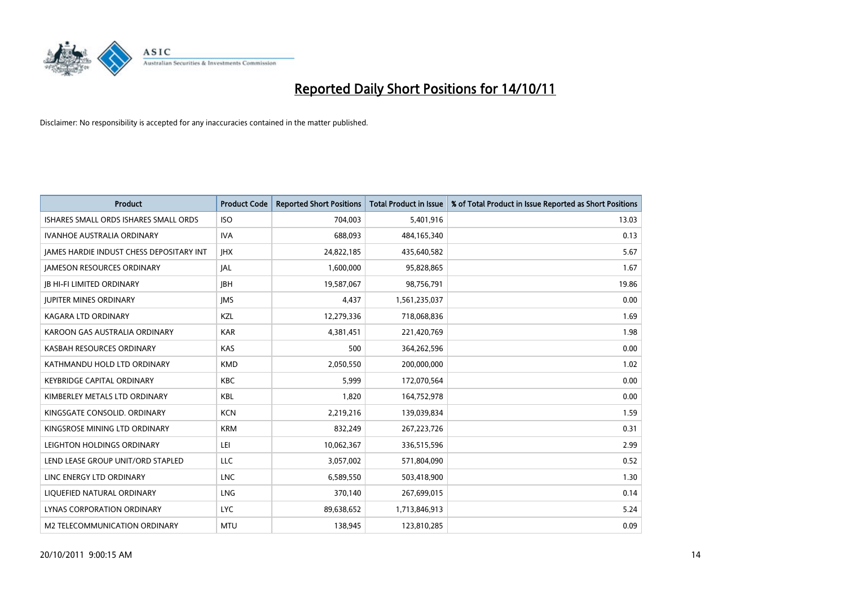

| <b>Product</b>                           | <b>Product Code</b> | <b>Reported Short Positions</b> | <b>Total Product in Issue</b> | % of Total Product in Issue Reported as Short Positions |
|------------------------------------------|---------------------|---------------------------------|-------------------------------|---------------------------------------------------------|
| ISHARES SMALL ORDS ISHARES SMALL ORDS    | <b>ISO</b>          | 704,003                         | 5,401,916                     | 13.03                                                   |
| IVANHOE AUSTRALIA ORDINARY               | <b>IVA</b>          | 688,093                         | 484,165,340                   | 0.13                                                    |
| JAMES HARDIE INDUST CHESS DEPOSITARY INT | <b>IHX</b>          | 24,822,185                      | 435,640,582                   | 5.67                                                    |
| <b>JAMESON RESOURCES ORDINARY</b>        | <b>JAL</b>          | 1,600,000                       | 95,828,865                    | 1.67                                                    |
| <b>IB HI-FI LIMITED ORDINARY</b>         | <b>IBH</b>          | 19,587,067                      | 98,756,791                    | 19.86                                                   |
| <b>JUPITER MINES ORDINARY</b>            | <b>IMS</b>          | 4,437                           | 1,561,235,037                 | 0.00                                                    |
| <b>KAGARA LTD ORDINARY</b>               | <b>KZL</b>          | 12,279,336                      | 718,068,836                   | 1.69                                                    |
| KAROON GAS AUSTRALIA ORDINARY            | <b>KAR</b>          | 4,381,451                       | 221,420,769                   | 1.98                                                    |
| KASBAH RESOURCES ORDINARY                | <b>KAS</b>          | 500                             | 364,262,596                   | 0.00                                                    |
| KATHMANDU HOLD LTD ORDINARY              | <b>KMD</b>          | 2,050,550                       | 200,000,000                   | 1.02                                                    |
| <b>KEYBRIDGE CAPITAL ORDINARY</b>        | <b>KBC</b>          | 5,999                           | 172,070,564                   | 0.00                                                    |
| KIMBERLEY METALS LTD ORDINARY            | <b>KBL</b>          | 1,820                           | 164,752,978                   | 0.00                                                    |
| KINGSGATE CONSOLID. ORDINARY             | <b>KCN</b>          | 2,219,216                       | 139,039,834                   | 1.59                                                    |
| KINGSROSE MINING LTD ORDINARY            | <b>KRM</b>          | 832,249                         | 267, 223, 726                 | 0.31                                                    |
| LEIGHTON HOLDINGS ORDINARY               | LEI                 | 10,062,367                      | 336,515,596                   | 2.99                                                    |
| LEND LEASE GROUP UNIT/ORD STAPLED        | LLC                 | 3,057,002                       | 571,804,090                   | 0.52                                                    |
| LINC ENERGY LTD ORDINARY                 | <b>LNC</b>          | 6,589,550                       | 503,418,900                   | 1.30                                                    |
| LIQUEFIED NATURAL ORDINARY               | <b>LNG</b>          | 370,140                         | 267,699,015                   | 0.14                                                    |
| LYNAS CORPORATION ORDINARY               | <b>LYC</b>          | 89,638,652                      | 1,713,846,913                 | 5.24                                                    |
| M2 TELECOMMUNICATION ORDINARY            | <b>MTU</b>          | 138.945                         | 123,810,285                   | 0.09                                                    |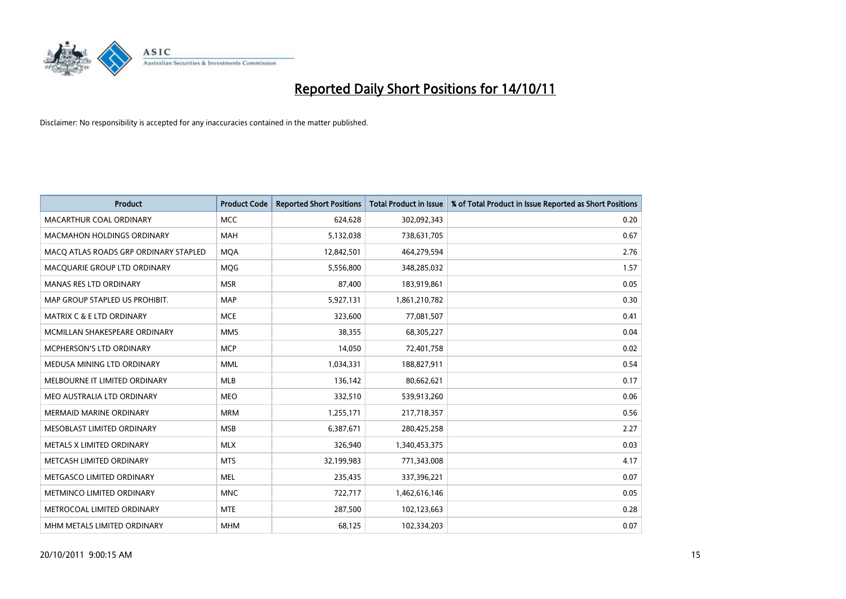

| <b>Product</b>                        | <b>Product Code</b> | <b>Reported Short Positions</b> | <b>Total Product in Issue</b> | % of Total Product in Issue Reported as Short Positions |
|---------------------------------------|---------------------|---------------------------------|-------------------------------|---------------------------------------------------------|
| MACARTHUR COAL ORDINARY               | <b>MCC</b>          | 624,628                         | 302,092,343                   | 0.20                                                    |
| <b>MACMAHON HOLDINGS ORDINARY</b>     | <b>MAH</b>          | 5,132,038                       | 738,631,705                   | 0.67                                                    |
| MACQ ATLAS ROADS GRP ORDINARY STAPLED | <b>MQA</b>          | 12,842,501                      | 464,279,594                   | 2.76                                                    |
| MACQUARIE GROUP LTD ORDINARY          | <b>MOG</b>          | 5,556,800                       | 348,285,032                   | 1.57                                                    |
| <b>MANAS RES LTD ORDINARY</b>         | <b>MSR</b>          | 87,400                          | 183,919,861                   | 0.05                                                    |
| MAP GROUP STAPLED US PROHIBIT.        | <b>MAP</b>          | 5,927,131                       | 1,861,210,782                 | 0.30                                                    |
| MATRIX C & E LTD ORDINARY             | <b>MCE</b>          | 323,600                         | 77,081,507                    | 0.41                                                    |
| MCMILLAN SHAKESPEARE ORDINARY         | <b>MMS</b>          | 38,355                          | 68,305,227                    | 0.04                                                    |
| MCPHERSON'S LTD ORDINARY              | <b>MCP</b>          | 14,050                          | 72,401,758                    | 0.02                                                    |
| MEDUSA MINING LTD ORDINARY            | <b>MML</b>          | 1,034,331                       | 188,827,911                   | 0.54                                                    |
| MELBOURNE IT LIMITED ORDINARY         | <b>MLB</b>          | 136,142                         | 80,662,621                    | 0.17                                                    |
| MEO AUSTRALIA LTD ORDINARY            | <b>MEO</b>          | 332,510                         | 539,913,260                   | 0.06                                                    |
| <b>MERMAID MARINE ORDINARY</b>        | <b>MRM</b>          | 1,255,171                       | 217,718,357                   | 0.56                                                    |
| MESOBLAST LIMITED ORDINARY            | <b>MSB</b>          | 6,387,671                       | 280,425,258                   | 2.27                                                    |
| METALS X LIMITED ORDINARY             | <b>MLX</b>          | 326,940                         | 1,340,453,375                 | 0.03                                                    |
| METCASH LIMITED ORDINARY              | <b>MTS</b>          | 32,199,983                      | 771,343,008                   | 4.17                                                    |
| METGASCO LIMITED ORDINARY             | <b>MEL</b>          | 235,435                         | 337,396,221                   | 0.07                                                    |
| METMINCO LIMITED ORDINARY             | <b>MNC</b>          | 722,717                         | 1,462,616,146                 | 0.05                                                    |
| METROCOAL LIMITED ORDINARY            | <b>MTE</b>          | 287,500                         | 102,123,663                   | 0.28                                                    |
| MHM METALS LIMITED ORDINARY           | <b>MHM</b>          | 68,125                          | 102,334,203                   | 0.07                                                    |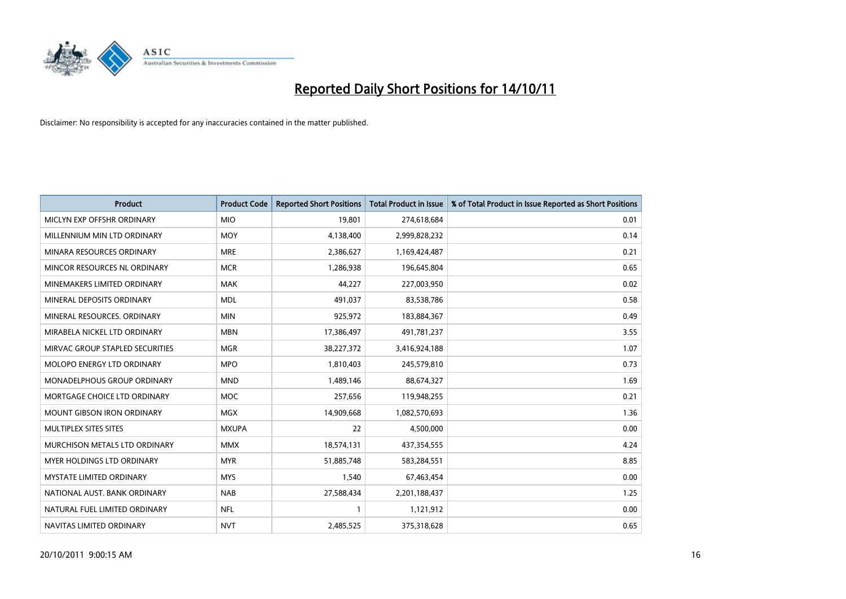

| <b>Product</b>                     | <b>Product Code</b> | <b>Reported Short Positions</b> | Total Product in Issue | % of Total Product in Issue Reported as Short Positions |
|------------------------------------|---------------------|---------------------------------|------------------------|---------------------------------------------------------|
| MICLYN EXP OFFSHR ORDINARY         | <b>MIO</b>          | 19.801                          | 274,618,684            | 0.01                                                    |
| MILLENNIUM MIN LTD ORDINARY        | <b>MOY</b>          | 4,138,400                       | 2,999,828,232          | 0.14                                                    |
| MINARA RESOURCES ORDINARY          | <b>MRE</b>          | 2,386,627                       | 1,169,424,487          | 0.21                                                    |
| MINCOR RESOURCES NL ORDINARY       | <b>MCR</b>          | 1,286,938                       | 196,645,804            | 0.65                                                    |
| MINEMAKERS LIMITED ORDINARY        | <b>MAK</b>          | 44,227                          | 227,003,950            | 0.02                                                    |
| MINERAL DEPOSITS ORDINARY          | <b>MDL</b>          | 491,037                         | 83,538,786             | 0.58                                                    |
| MINERAL RESOURCES, ORDINARY        | <b>MIN</b>          | 925,972                         | 183,884,367            | 0.49                                                    |
| MIRABELA NICKEL LTD ORDINARY       | <b>MBN</b>          | 17,386,497                      | 491,781,237            | 3.55                                                    |
| MIRVAC GROUP STAPLED SECURITIES    | <b>MGR</b>          | 38,227,372                      | 3,416,924,188          | 1.07                                                    |
| <b>MOLOPO ENERGY LTD ORDINARY</b>  | <b>MPO</b>          | 1,810,403                       | 245,579,810            | 0.73                                                    |
| <b>MONADELPHOUS GROUP ORDINARY</b> | <b>MND</b>          | 1,489,146                       | 88,674,327             | 1.69                                                    |
| MORTGAGE CHOICE LTD ORDINARY       | MOC                 | 257,656                         | 119,948,255            | 0.21                                                    |
| <b>MOUNT GIBSON IRON ORDINARY</b>  | <b>MGX</b>          | 14,909,668                      | 1,082,570,693          | 1.36                                                    |
| <b>MULTIPLEX SITES SITES</b>       | <b>MXUPA</b>        | 22                              | 4,500,000              | 0.00                                                    |
| MURCHISON METALS LTD ORDINARY      | <b>MMX</b>          | 18,574,131                      | 437,354,555            | 4.24                                                    |
| MYER HOLDINGS LTD ORDINARY         | <b>MYR</b>          | 51,885,748                      | 583,284,551            | 8.85                                                    |
| <b>MYSTATE LIMITED ORDINARY</b>    | <b>MYS</b>          | 1,540                           | 67,463,454             | 0.00                                                    |
| NATIONAL AUST, BANK ORDINARY       | <b>NAB</b>          | 27,588,434                      | 2,201,188,437          | 1.25                                                    |
| NATURAL FUEL LIMITED ORDINARY      | <b>NFL</b>          | $\mathbf{1}$                    | 1,121,912              | 0.00                                                    |
| NAVITAS LIMITED ORDINARY           | <b>NVT</b>          | 2,485,525                       | 375,318,628            | 0.65                                                    |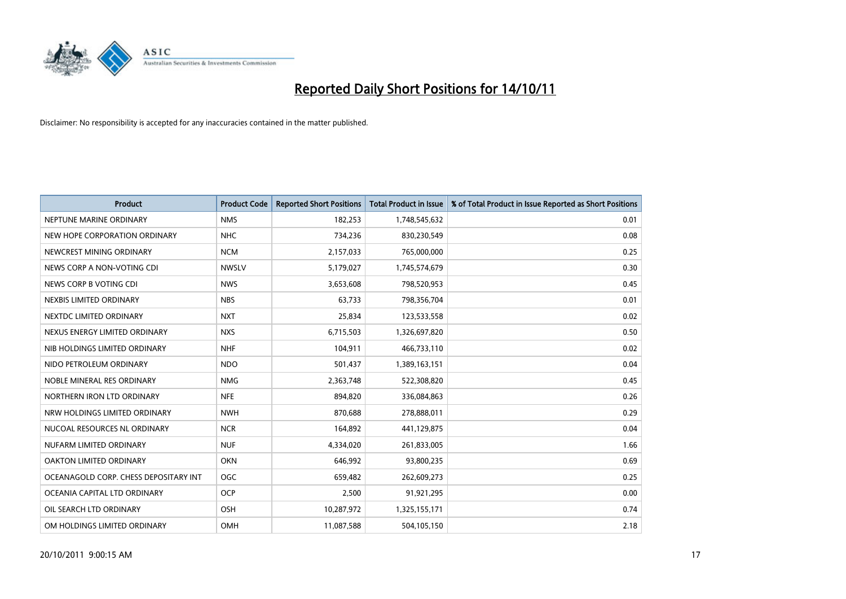

| <b>Product</b>                        | <b>Product Code</b> | <b>Reported Short Positions</b> | <b>Total Product in Issue</b> | % of Total Product in Issue Reported as Short Positions |
|---------------------------------------|---------------------|---------------------------------|-------------------------------|---------------------------------------------------------|
| NEPTUNE MARINE ORDINARY               | <b>NMS</b>          | 182,253                         | 1,748,545,632                 | 0.01                                                    |
| NEW HOPE CORPORATION ORDINARY         | <b>NHC</b>          | 734,236                         | 830,230,549                   | 0.08                                                    |
| NEWCREST MINING ORDINARY              | <b>NCM</b>          | 2,157,033                       | 765,000,000                   | 0.25                                                    |
| NEWS CORP A NON-VOTING CDI            | <b>NWSLV</b>        | 5,179,027                       | 1,745,574,679                 | 0.30                                                    |
| NEWS CORP B VOTING CDI                | <b>NWS</b>          | 3,653,608                       | 798,520,953                   | 0.45                                                    |
| NEXBIS LIMITED ORDINARY               | <b>NBS</b>          | 63,733                          | 798,356,704                   | 0.01                                                    |
| NEXTDC LIMITED ORDINARY               | <b>NXT</b>          | 25,834                          | 123,533,558                   | 0.02                                                    |
| NEXUS ENERGY LIMITED ORDINARY         | <b>NXS</b>          | 6,715,503                       | 1,326,697,820                 | 0.50                                                    |
| NIB HOLDINGS LIMITED ORDINARY         | <b>NHF</b>          | 104,911                         | 466,733,110                   | 0.02                                                    |
| NIDO PETROLEUM ORDINARY               | <b>NDO</b>          | 501,437                         | 1,389,163,151                 | 0.04                                                    |
| NOBLE MINERAL RES ORDINARY            | <b>NMG</b>          | 2,363,748                       | 522,308,820                   | 0.45                                                    |
| NORTHERN IRON LTD ORDINARY            | <b>NFE</b>          | 894.820                         | 336,084,863                   | 0.26                                                    |
| NRW HOLDINGS LIMITED ORDINARY         | <b>NWH</b>          | 870,688                         | 278,888,011                   | 0.29                                                    |
| NUCOAL RESOURCES NL ORDINARY          | <b>NCR</b>          | 164,892                         | 441,129,875                   | 0.04                                                    |
| NUFARM LIMITED ORDINARY               | <b>NUF</b>          | 4,334,020                       | 261,833,005                   | 1.66                                                    |
| OAKTON LIMITED ORDINARY               | <b>OKN</b>          | 646,992                         | 93,800,235                    | 0.69                                                    |
| OCEANAGOLD CORP. CHESS DEPOSITARY INT | <b>OGC</b>          | 659,482                         | 262,609,273                   | 0.25                                                    |
| OCEANIA CAPITAL LTD ORDINARY          | <b>OCP</b>          | 2,500                           | 91,921,295                    | 0.00                                                    |
| OIL SEARCH LTD ORDINARY               | <b>OSH</b>          | 10,287,972                      | 1,325,155,171                 | 0.74                                                    |
| OM HOLDINGS LIMITED ORDINARY          | OMH                 | 11,087,588                      | 504,105,150                   | 2.18                                                    |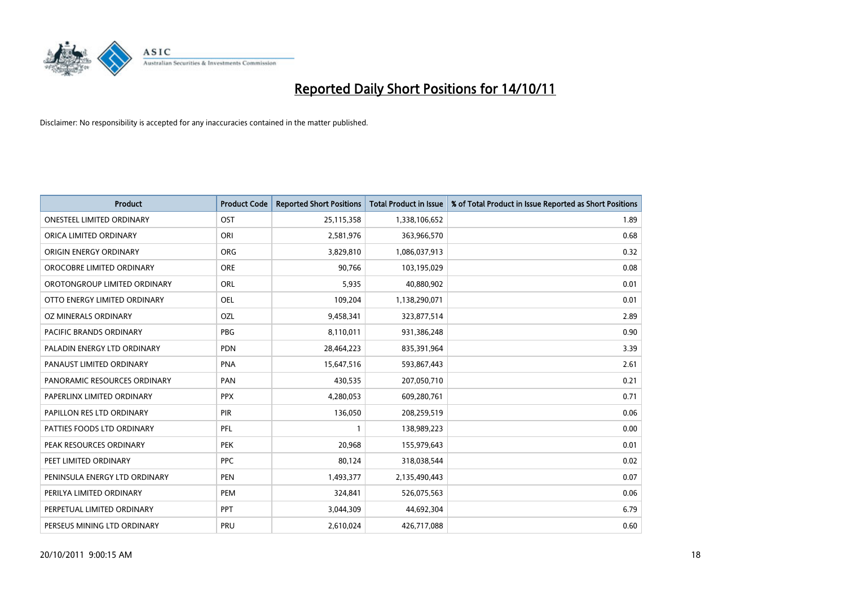

| <b>Product</b>                   | <b>Product Code</b> | <b>Reported Short Positions</b> | <b>Total Product in Issue</b> | % of Total Product in Issue Reported as Short Positions |
|----------------------------------|---------------------|---------------------------------|-------------------------------|---------------------------------------------------------|
| <b>ONESTEEL LIMITED ORDINARY</b> | <b>OST</b>          | 25,115,358                      | 1,338,106,652                 | 1.89                                                    |
| ORICA LIMITED ORDINARY           | ORI                 | 2,581,976                       | 363,966,570                   | 0.68                                                    |
| ORIGIN ENERGY ORDINARY           | <b>ORG</b>          | 3,829,810                       | 1,086,037,913                 | 0.32                                                    |
| OROCOBRE LIMITED ORDINARY        | <b>ORE</b>          | 90,766                          | 103,195,029                   | 0.08                                                    |
| OROTONGROUP LIMITED ORDINARY     | <b>ORL</b>          | 5,935                           | 40,880,902                    | 0.01                                                    |
| OTTO ENERGY LIMITED ORDINARY     | <b>OEL</b>          | 109,204                         | 1,138,290,071                 | 0.01                                                    |
| OZ MINERALS ORDINARY             | OZL                 | 9,458,341                       | 323,877,514                   | 2.89                                                    |
| PACIFIC BRANDS ORDINARY          | PBG                 | 8,110,011                       | 931,386,248                   | 0.90                                                    |
| PALADIN ENERGY LTD ORDINARY      | <b>PDN</b>          | 28,464,223                      | 835,391,964                   | 3.39                                                    |
| PANAUST LIMITED ORDINARY         | PNA                 | 15,647,516                      | 593,867,443                   | 2.61                                                    |
| PANORAMIC RESOURCES ORDINARY     | PAN                 | 430,535                         | 207,050,710                   | 0.21                                                    |
| PAPERLINX LIMITED ORDINARY       | <b>PPX</b>          | 4,280,053                       | 609,280,761                   | 0.71                                                    |
| PAPILLON RES LTD ORDINARY        | <b>PIR</b>          | 136,050                         | 208,259,519                   | 0.06                                                    |
| PATTIES FOODS LTD ORDINARY       | PFL                 |                                 | 138,989,223                   | 0.00                                                    |
| PEAK RESOURCES ORDINARY          | <b>PEK</b>          | 20,968                          | 155,979,643                   | 0.01                                                    |
| PEET LIMITED ORDINARY            | <b>PPC</b>          | 80,124                          | 318,038,544                   | 0.02                                                    |
| PENINSULA ENERGY LTD ORDINARY    | <b>PEN</b>          | 1,493,377                       | 2,135,490,443                 | 0.07                                                    |
| PERILYA LIMITED ORDINARY         | PEM                 | 324,841                         | 526,075,563                   | 0.06                                                    |
| PERPETUAL LIMITED ORDINARY       | <b>PPT</b>          | 3,044,309                       | 44,692,304                    | 6.79                                                    |
| PERSEUS MINING LTD ORDINARY      | PRU                 | 2,610,024                       | 426,717,088                   | 0.60                                                    |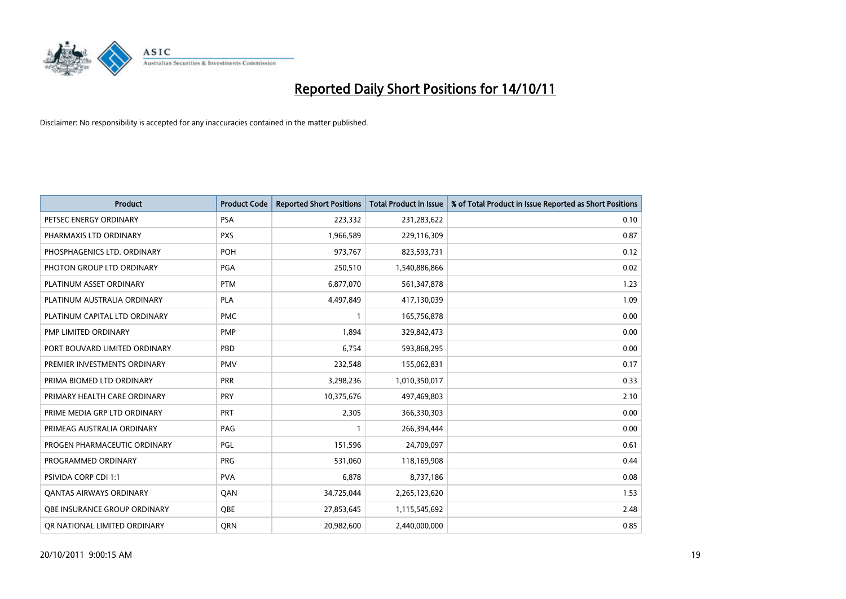

| <b>Product</b>                      | <b>Product Code</b> | <b>Reported Short Positions</b> | <b>Total Product in Issue</b> | % of Total Product in Issue Reported as Short Positions |
|-------------------------------------|---------------------|---------------------------------|-------------------------------|---------------------------------------------------------|
| PETSEC ENERGY ORDINARY              | <b>PSA</b>          | 223,332                         | 231,283,622                   | 0.10                                                    |
| PHARMAXIS LTD ORDINARY              | <b>PXS</b>          | 1,966,589                       | 229,116,309                   | 0.87                                                    |
| PHOSPHAGENICS LTD. ORDINARY         | <b>POH</b>          | 973,767                         | 823,593,731                   | 0.12                                                    |
| PHOTON GROUP LTD ORDINARY           | PGA                 | 250,510                         | 1,540,886,866                 | 0.02                                                    |
| PLATINUM ASSET ORDINARY             | <b>PTM</b>          | 6,877,070                       | 561,347,878                   | 1.23                                                    |
| PLATINUM AUSTRALIA ORDINARY         | <b>PLA</b>          | 4,497,849                       | 417,130,039                   | 1.09                                                    |
| PLATINUM CAPITAL LTD ORDINARY       | <b>PMC</b>          |                                 | 165,756,878                   | 0.00                                                    |
| PMP LIMITED ORDINARY                | <b>PMP</b>          | 1,894                           | 329,842,473                   | 0.00                                                    |
| PORT BOUVARD LIMITED ORDINARY       | PBD                 | 6,754                           | 593,868,295                   | 0.00                                                    |
| PREMIER INVESTMENTS ORDINARY        | <b>PMV</b>          | 232,548                         | 155,062,831                   | 0.17                                                    |
| PRIMA BIOMED LTD ORDINARY           | <b>PRR</b>          | 3,298,236                       | 1,010,350,017                 | 0.33                                                    |
| PRIMARY HEALTH CARE ORDINARY        | <b>PRY</b>          | 10,375,676                      | 497,469,803                   | 2.10                                                    |
| PRIME MEDIA GRP LTD ORDINARY        | <b>PRT</b>          | 2,305                           | 366,330,303                   | 0.00                                                    |
| PRIMEAG AUSTRALIA ORDINARY          | PAG                 |                                 | 266,394,444                   | 0.00                                                    |
| PROGEN PHARMACEUTIC ORDINARY        | PGL                 | 151,596                         | 24,709,097                    | 0.61                                                    |
| PROGRAMMED ORDINARY                 | <b>PRG</b>          | 531,060                         | 118,169,908                   | 0.44                                                    |
| PSIVIDA CORP CDI 1:1                | <b>PVA</b>          | 6,878                           | 8,737,186                     | 0.08                                                    |
| <b>QANTAS AIRWAYS ORDINARY</b>      | QAN                 | 34,725,044                      | 2,265,123,620                 | 1.53                                                    |
| <b>OBE INSURANCE GROUP ORDINARY</b> | <b>OBE</b>          | 27,853,645                      | 1,115,545,692                 | 2.48                                                    |
| OR NATIONAL LIMITED ORDINARY        | <b>ORN</b>          | 20,982,600                      | 2,440,000,000                 | 0.85                                                    |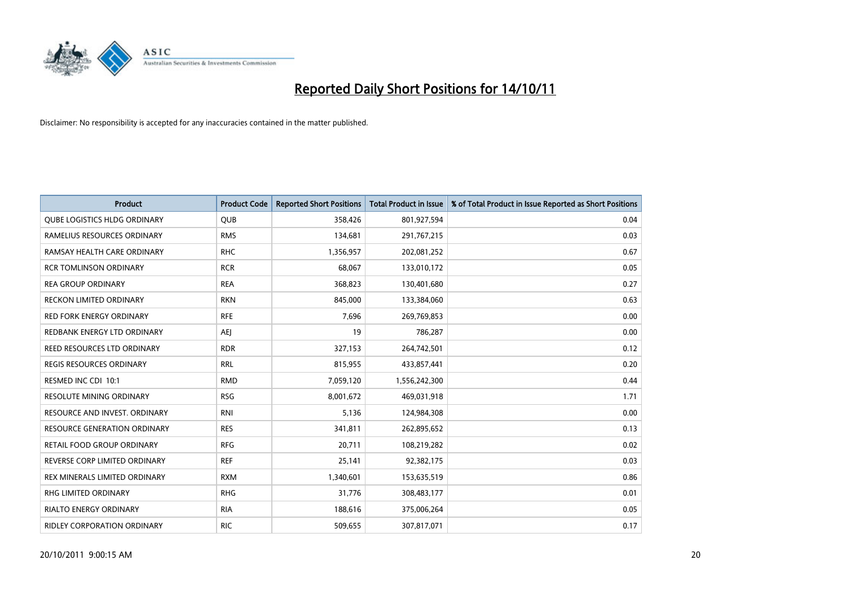

| <b>Product</b>                      | <b>Product Code</b> | <b>Reported Short Positions</b> | <b>Total Product in Issue</b> | % of Total Product in Issue Reported as Short Positions |
|-------------------------------------|---------------------|---------------------------------|-------------------------------|---------------------------------------------------------|
| <b>QUBE LOGISTICS HLDG ORDINARY</b> | <b>QUB</b>          | 358,426                         | 801,927,594                   | 0.04                                                    |
| RAMELIUS RESOURCES ORDINARY         | <b>RMS</b>          | 134,681                         | 291,767,215                   | 0.03                                                    |
| RAMSAY HEALTH CARE ORDINARY         | <b>RHC</b>          | 1,356,957                       | 202,081,252                   | 0.67                                                    |
| <b>RCR TOMLINSON ORDINARY</b>       | <b>RCR</b>          | 68,067                          | 133,010,172                   | 0.05                                                    |
| <b>REA GROUP ORDINARY</b>           | <b>REA</b>          | 368,823                         | 130,401,680                   | 0.27                                                    |
| <b>RECKON LIMITED ORDINARY</b>      | <b>RKN</b>          | 845.000                         | 133,384,060                   | 0.63                                                    |
| <b>RED FORK ENERGY ORDINARY</b>     | <b>RFE</b>          | 7,696                           | 269,769,853                   | 0.00                                                    |
| REDBANK ENERGY LTD ORDINARY         | AEJ                 | 19                              | 786,287                       | 0.00                                                    |
| REED RESOURCES LTD ORDINARY         | <b>RDR</b>          | 327,153                         | 264,742,501                   | 0.12                                                    |
| <b>REGIS RESOURCES ORDINARY</b>     | <b>RRL</b>          | 815,955                         | 433,857,441                   | 0.20                                                    |
| RESMED INC CDI 10:1                 | <b>RMD</b>          | 7,059,120                       | 1,556,242,300                 | 0.44                                                    |
| RESOLUTE MINING ORDINARY            | <b>RSG</b>          | 8,001,672                       | 469,031,918                   | 1.71                                                    |
| RESOURCE AND INVEST. ORDINARY       | <b>RNI</b>          | 5,136                           | 124,984,308                   | 0.00                                                    |
| <b>RESOURCE GENERATION ORDINARY</b> | <b>RES</b>          | 341,811                         | 262,895,652                   | 0.13                                                    |
| RETAIL FOOD GROUP ORDINARY          | <b>RFG</b>          | 20,711                          | 108,219,282                   | 0.02                                                    |
| REVERSE CORP LIMITED ORDINARY       | <b>REF</b>          | 25,141                          | 92,382,175                    | 0.03                                                    |
| REX MINERALS LIMITED ORDINARY       | <b>RXM</b>          | 1,340,601                       | 153,635,519                   | 0.86                                                    |
| RHG LIMITED ORDINARY                | <b>RHG</b>          | 31,776                          | 308,483,177                   | 0.01                                                    |
| <b>RIALTO ENERGY ORDINARY</b>       | <b>RIA</b>          | 188,616                         | 375,006,264                   | 0.05                                                    |
| RIDLEY CORPORATION ORDINARY         | <b>RIC</b>          | 509,655                         | 307,817,071                   | 0.17                                                    |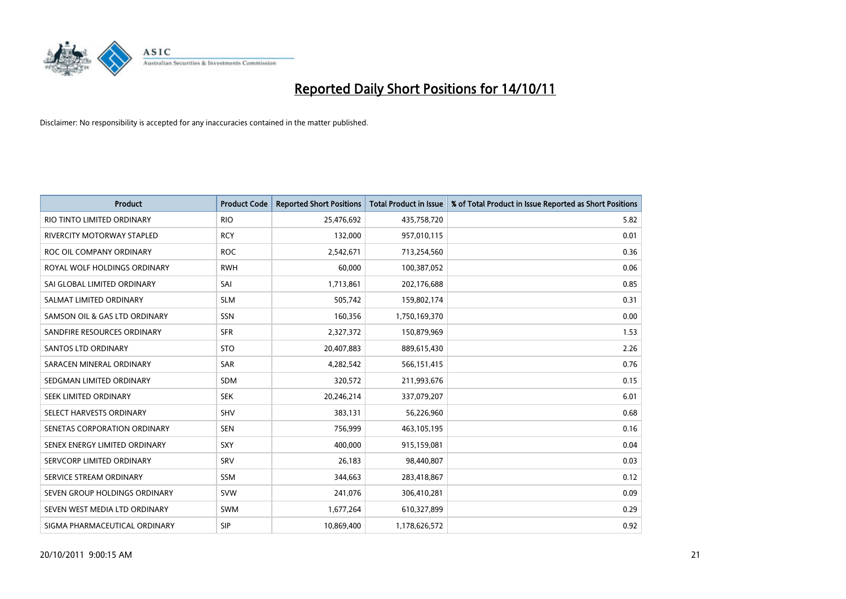

| <b>Product</b>                | <b>Product Code</b> | <b>Reported Short Positions</b> | <b>Total Product in Issue</b> | % of Total Product in Issue Reported as Short Positions |
|-------------------------------|---------------------|---------------------------------|-------------------------------|---------------------------------------------------------|
| RIO TINTO LIMITED ORDINARY    | <b>RIO</b>          | 25,476,692                      | 435,758,720                   | 5.82                                                    |
| RIVERCITY MOTORWAY STAPLED    | <b>RCY</b>          | 132,000                         | 957,010,115                   | 0.01                                                    |
| ROC OIL COMPANY ORDINARY      | <b>ROC</b>          | 2,542,671                       | 713,254,560                   | 0.36                                                    |
| ROYAL WOLF HOLDINGS ORDINARY  | <b>RWH</b>          | 60,000                          | 100,387,052                   | 0.06                                                    |
| SAI GLOBAL LIMITED ORDINARY   | SAI                 | 1,713,861                       | 202,176,688                   | 0.85                                                    |
| SALMAT LIMITED ORDINARY       | <b>SLM</b>          | 505,742                         | 159,802,174                   | 0.31                                                    |
| SAMSON OIL & GAS LTD ORDINARY | <b>SSN</b>          | 160,356                         | 1,750,169,370                 | 0.00                                                    |
| SANDFIRE RESOURCES ORDINARY   | <b>SFR</b>          | 2,327,372                       | 150,879,969                   | 1.53                                                    |
| SANTOS LTD ORDINARY           | <b>STO</b>          | 20,407,883                      | 889,615,430                   | 2.26                                                    |
| SARACEN MINERAL ORDINARY      | <b>SAR</b>          | 4,282,542                       | 566,151,415                   | 0.76                                                    |
| SEDGMAN LIMITED ORDINARY      | <b>SDM</b>          | 320,572                         | 211,993,676                   | 0.15                                                    |
| <b>SEEK LIMITED ORDINARY</b>  | <b>SEK</b>          | 20,246,214                      | 337,079,207                   | 6.01                                                    |
| SELECT HARVESTS ORDINARY      | <b>SHV</b>          | 383,131                         | 56,226,960                    | 0.68                                                    |
| SENETAS CORPORATION ORDINARY  | <b>SEN</b>          | 756,999                         | 463,105,195                   | 0.16                                                    |
| SENEX ENERGY LIMITED ORDINARY | SXY                 | 400,000                         | 915,159,081                   | 0.04                                                    |
| SERVCORP LIMITED ORDINARY     | SRV                 | 26,183                          | 98,440,807                    | 0.03                                                    |
| SERVICE STREAM ORDINARY       | <b>SSM</b>          | 344,663                         | 283,418,867                   | 0.12                                                    |
| SEVEN GROUP HOLDINGS ORDINARY | <b>SVW</b>          | 241,076                         | 306,410,281                   | 0.09                                                    |
| SEVEN WEST MEDIA LTD ORDINARY | <b>SWM</b>          | 1,677,264                       | 610,327,899                   | 0.29                                                    |
| SIGMA PHARMACEUTICAL ORDINARY | <b>SIP</b>          | 10,869,400                      | 1,178,626,572                 | 0.92                                                    |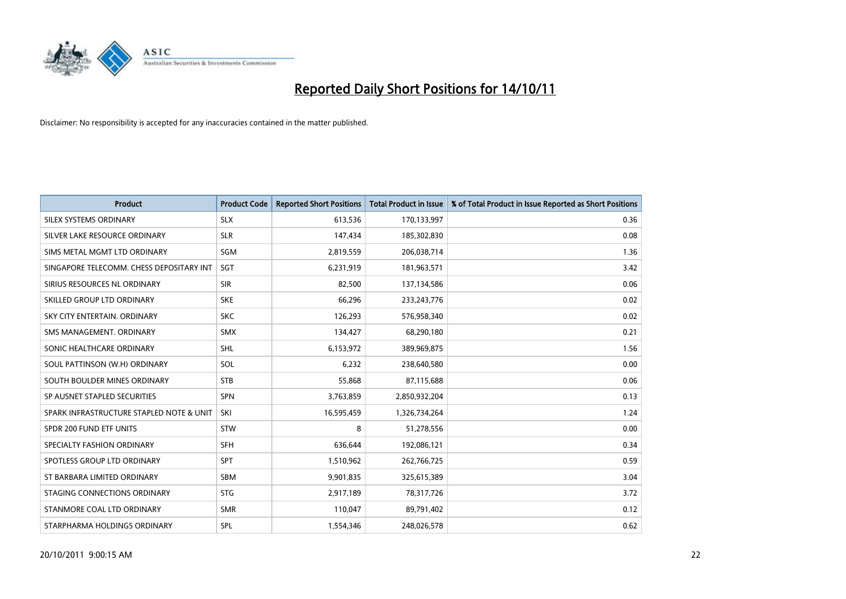

| <b>Product</b>                           | <b>Product Code</b> | <b>Reported Short Positions</b> | <b>Total Product in Issue</b> | % of Total Product in Issue Reported as Short Positions |
|------------------------------------------|---------------------|---------------------------------|-------------------------------|---------------------------------------------------------|
| SILEX SYSTEMS ORDINARY                   | <b>SLX</b>          | 613,536                         | 170,133,997                   | 0.36                                                    |
| SILVER LAKE RESOURCE ORDINARY            | <b>SLR</b>          | 147,434                         | 185,302,830                   | 0.08                                                    |
| SIMS METAL MGMT LTD ORDINARY             | SGM                 | 2,819,559                       | 206,038,714                   | 1.36                                                    |
| SINGAPORE TELECOMM. CHESS DEPOSITARY INT | <b>SGT</b>          | 6,231,919                       | 181,963,571                   | 3.42                                                    |
| SIRIUS RESOURCES NL ORDINARY             | <b>SIR</b>          | 82,500                          | 137,134,586                   | 0.06                                                    |
| SKILLED GROUP LTD ORDINARY               | <b>SKE</b>          | 66,296                          | 233, 243, 776                 | 0.02                                                    |
| SKY CITY ENTERTAIN, ORDINARY             | <b>SKC</b>          | 126,293                         | 576,958,340                   | 0.02                                                    |
| SMS MANAGEMENT. ORDINARY                 | <b>SMX</b>          | 134,427                         | 68,290,180                    | 0.21                                                    |
| SONIC HEALTHCARE ORDINARY                | <b>SHL</b>          | 6,153,972                       | 389,969,875                   | 1.56                                                    |
| SOUL PATTINSON (W.H) ORDINARY            | SOL                 | 6,232                           | 238,640,580                   | 0.00                                                    |
| SOUTH BOULDER MINES ORDINARY             | <b>STB</b>          | 55,868                          | 87,115,688                    | 0.06                                                    |
| SP AUSNET STAPLED SECURITIES             | <b>SPN</b>          | 3,763,859                       | 2,850,932,204                 | 0.13                                                    |
| SPARK INFRASTRUCTURE STAPLED NOTE & UNIT | SKI                 | 16,595,459                      | 1,326,734,264                 | 1.24                                                    |
| SPDR 200 FUND ETF UNITS                  | <b>STW</b>          | 8                               | 51,278,556                    | 0.00                                                    |
| SPECIALTY FASHION ORDINARY               | <b>SFH</b>          | 636,644                         | 192,086,121                   | 0.34                                                    |
| SPOTLESS GROUP LTD ORDINARY              | <b>SPT</b>          | 1,510,962                       | 262,766,725                   | 0.59                                                    |
| ST BARBARA LIMITED ORDINARY              | <b>SBM</b>          | 9,901,835                       | 325,615,389                   | 3.04                                                    |
| STAGING CONNECTIONS ORDINARY             | <b>STG</b>          | 2,917,189                       | 78,317,726                    | 3.72                                                    |
| STANMORE COAL LTD ORDINARY               | <b>SMR</b>          | 110,047                         | 89,791,402                    | 0.12                                                    |
| STARPHARMA HOLDINGS ORDINARY             | SPL                 | 1,554,346                       | 248,026,578                   | 0.62                                                    |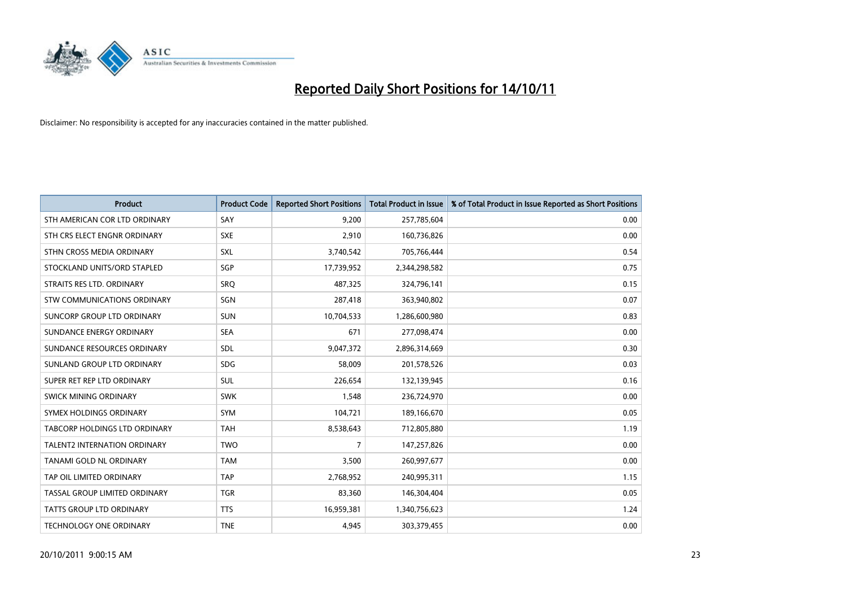

| <b>Product</b>                       | <b>Product Code</b> | <b>Reported Short Positions</b> | <b>Total Product in Issue</b> | % of Total Product in Issue Reported as Short Positions |
|--------------------------------------|---------------------|---------------------------------|-------------------------------|---------------------------------------------------------|
| STH AMERICAN COR LTD ORDINARY        | SAY                 | 9,200                           | 257,785,604                   | 0.00                                                    |
| STH CRS ELECT ENGNR ORDINARY         | <b>SXE</b>          | 2,910                           | 160,736,826                   | 0.00                                                    |
| STHN CROSS MEDIA ORDINARY            | <b>SXL</b>          | 3,740,542                       | 705,766,444                   | 0.54                                                    |
| STOCKLAND UNITS/ORD STAPLED          | SGP                 | 17,739,952                      | 2,344,298,582                 | 0.75                                                    |
| STRAITS RES LTD. ORDINARY            | SRO                 | 487,325                         | 324,796,141                   | 0.15                                                    |
| STW COMMUNICATIONS ORDINARY          | SGN                 | 287,418                         | 363,940,802                   | 0.07                                                    |
| SUNCORP GROUP LTD ORDINARY           | <b>SUN</b>          | 10,704,533                      | 1,286,600,980                 | 0.83                                                    |
| SUNDANCE ENERGY ORDINARY             | <b>SEA</b>          | 671                             | 277,098,474                   | 0.00                                                    |
| SUNDANCE RESOURCES ORDINARY          | <b>SDL</b>          | 9,047,372                       | 2,896,314,669                 | 0.30                                                    |
| SUNLAND GROUP LTD ORDINARY           | <b>SDG</b>          | 58,009                          | 201,578,526                   | 0.03                                                    |
| SUPER RET REP LTD ORDINARY           | <b>SUL</b>          | 226,654                         | 132,139,945                   | 0.16                                                    |
| <b>SWICK MINING ORDINARY</b>         | <b>SWK</b>          | 1,548                           | 236,724,970                   | 0.00                                                    |
| SYMEX HOLDINGS ORDINARY              | <b>SYM</b>          | 104,721                         | 189,166,670                   | 0.05                                                    |
| <b>TABCORP HOLDINGS LTD ORDINARY</b> | <b>TAH</b>          | 8,538,643                       | 712,805,880                   | 1.19                                                    |
| <b>TALENT2 INTERNATION ORDINARY</b>  | <b>TWO</b>          | 7                               | 147,257,826                   | 0.00                                                    |
| <b>TANAMI GOLD NL ORDINARY</b>       | <b>TAM</b>          | 3,500                           | 260,997,677                   | 0.00                                                    |
| TAP OIL LIMITED ORDINARY             | <b>TAP</b>          | 2,768,952                       | 240,995,311                   | 1.15                                                    |
| TASSAL GROUP LIMITED ORDINARY        | <b>TGR</b>          | 83,360                          | 146,304,404                   | 0.05                                                    |
| <b>TATTS GROUP LTD ORDINARY</b>      | <b>TTS</b>          | 16,959,381                      | 1,340,756,623                 | 1.24                                                    |
| TECHNOLOGY ONE ORDINARY              | <b>TNE</b>          | 4,945                           | 303,379,455                   | 0.00                                                    |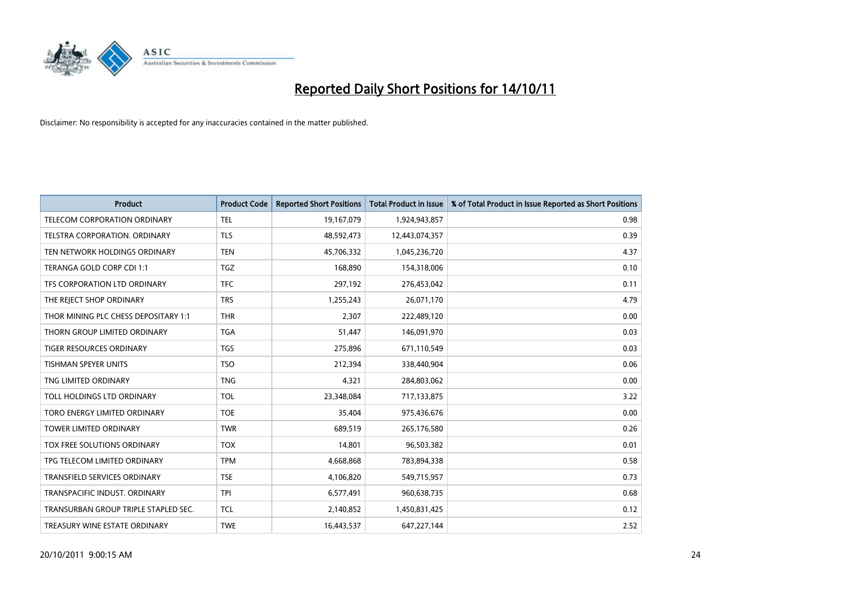

| <b>Product</b>                       | <b>Product Code</b> | <b>Reported Short Positions</b> | <b>Total Product in Issue</b> | % of Total Product in Issue Reported as Short Positions |
|--------------------------------------|---------------------|---------------------------------|-------------------------------|---------------------------------------------------------|
| <b>TELECOM CORPORATION ORDINARY</b>  | <b>TEL</b>          | 19,167,079                      | 1,924,943,857                 | 0.98                                                    |
| TELSTRA CORPORATION. ORDINARY        | <b>TLS</b>          | 48,592,473                      | 12,443,074,357                | 0.39                                                    |
| TEN NETWORK HOLDINGS ORDINARY        | <b>TEN</b>          | 45,706,332                      | 1,045,236,720                 | 4.37                                                    |
| TERANGA GOLD CORP CDI 1:1            | <b>TGZ</b>          | 168,890                         | 154,318,006                   | 0.10                                                    |
| TFS CORPORATION LTD ORDINARY         | <b>TFC</b>          | 297,192                         | 276,453,042                   | 0.11                                                    |
| THE REJECT SHOP ORDINARY             | <b>TRS</b>          | 1,255,243                       | 26,071,170                    | 4.79                                                    |
| THOR MINING PLC CHESS DEPOSITARY 1:1 | <b>THR</b>          | 2,307                           | 222,489,120                   | 0.00                                                    |
| THORN GROUP LIMITED ORDINARY         | <b>TGA</b>          | 51,447                          | 146,091,970                   | 0.03                                                    |
| <b>TIGER RESOURCES ORDINARY</b>      | <b>TGS</b>          | 275,896                         | 671,110,549                   | 0.03                                                    |
| <b>TISHMAN SPEYER UNITS</b>          | <b>TSO</b>          | 212,394                         | 338,440,904                   | 0.06                                                    |
| TNG LIMITED ORDINARY                 | <b>TNG</b>          | 4,321                           | 284,803,062                   | 0.00                                                    |
| TOLL HOLDINGS LTD ORDINARY           | <b>TOL</b>          | 23,348,084                      | 717,133,875                   | 3.22                                                    |
| TORO ENERGY LIMITED ORDINARY         | <b>TOE</b>          | 35,404                          | 975,436,676                   | 0.00                                                    |
| <b>TOWER LIMITED ORDINARY</b>        | <b>TWR</b>          | 689,519                         | 265,176,580                   | 0.26                                                    |
| TOX FREE SOLUTIONS ORDINARY          | <b>TOX</b>          | 14,801                          | 96,503,382                    | 0.01                                                    |
| TPG TELECOM LIMITED ORDINARY         | <b>TPM</b>          | 4,668,868                       | 783,894,338                   | 0.58                                                    |
| TRANSFIELD SERVICES ORDINARY         | <b>TSE</b>          | 4,106,820                       | 549,715,957                   | 0.73                                                    |
| TRANSPACIFIC INDUST, ORDINARY        | <b>TPI</b>          | 6,577,491                       | 960,638,735                   | 0.68                                                    |
| TRANSURBAN GROUP TRIPLE STAPLED SEC. | <b>TCL</b>          | 2,140,852                       | 1,450,831,425                 | 0.12                                                    |
| TREASURY WINE ESTATE ORDINARY        | <b>TWE</b>          | 16,443,537                      | 647,227,144                   | 2.52                                                    |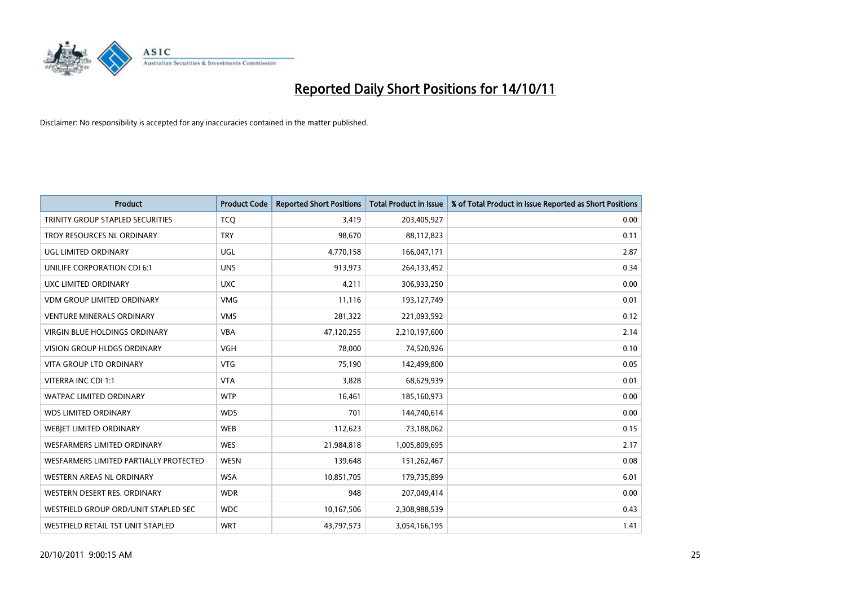

| <b>Product</b>                          | <b>Product Code</b> | <b>Reported Short Positions</b> | <b>Total Product in Issue</b> | % of Total Product in Issue Reported as Short Positions |
|-----------------------------------------|---------------------|---------------------------------|-------------------------------|---------------------------------------------------------|
| <b>TRINITY GROUP STAPLED SECURITIES</b> | <b>TCQ</b>          | 3,419                           | 203,405,927                   | 0.00                                                    |
| TROY RESOURCES NL ORDINARY              | <b>TRY</b>          | 98,670                          | 88,112,823                    | 0.11                                                    |
| UGL LIMITED ORDINARY                    | UGL                 | 4,770,158                       | 166,047,171                   | 2.87                                                    |
| UNILIFE CORPORATION CDI 6:1             | <b>UNS</b>          | 913,973                         | 264,133,452                   | 0.34                                                    |
| UXC LIMITED ORDINARY                    | <b>UXC</b>          | 4,211                           | 306,933,250                   | 0.00                                                    |
| <b>VDM GROUP LIMITED ORDINARY</b>       | <b>VMG</b>          | 11,116                          | 193,127,749                   | 0.01                                                    |
| <b>VENTURE MINERALS ORDINARY</b>        | <b>VMS</b>          | 281,322                         | 221,093,592                   | 0.12                                                    |
| <b>VIRGIN BLUE HOLDINGS ORDINARY</b>    | <b>VBA</b>          | 47,120,255                      | 2,210,197,600                 | 2.14                                                    |
| <b>VISION GROUP HLDGS ORDINARY</b>      | <b>VGH</b>          | 78,000                          | 74,520,926                    | 0.10                                                    |
| <b>VITA GROUP LTD ORDINARY</b>          | <b>VTG</b>          | 75,190                          | 142,499,800                   | 0.05                                                    |
| VITERRA INC CDI 1:1                     | <b>VTA</b>          | 3,828                           | 68,629,939                    | 0.01                                                    |
| WATPAC LIMITED ORDINARY                 | <b>WTP</b>          | 16,461                          | 185,160,973                   | 0.00                                                    |
| <b>WDS LIMITED ORDINARY</b>             | <b>WDS</b>          | 701                             | 144,740,614                   | 0.00                                                    |
| WEBIET LIMITED ORDINARY                 | <b>WEB</b>          | 112,623                         | 73,188,062                    | 0.15                                                    |
| <b>WESFARMERS LIMITED ORDINARY</b>      | <b>WES</b>          | 21,984,818                      | 1,005,809,695                 | 2.17                                                    |
| WESFARMERS LIMITED PARTIALLY PROTECTED  | <b>WESN</b>         | 139,648                         | 151,262,467                   | 0.08                                                    |
| WESTERN AREAS NL ORDINARY               | <b>WSA</b>          | 10,851,705                      | 179,735,899                   | 6.01                                                    |
| WESTERN DESERT RES. ORDINARY            | <b>WDR</b>          | 948                             | 207,049,414                   | 0.00                                                    |
| WESTFIELD GROUP ORD/UNIT STAPLED SEC    | <b>WDC</b>          | 10,167,506                      | 2,308,988,539                 | 0.43                                                    |
| WESTFIELD RETAIL TST UNIT STAPLED       | <b>WRT</b>          | 43,797,573                      | 3,054,166,195                 | 1.41                                                    |